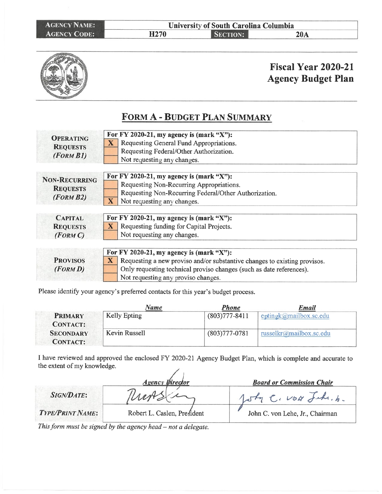| <b>AGENCY NAME:</b> |                  | University of South Carolina Columbia |     |  |  |  |
|---------------------|------------------|---------------------------------------|-----|--|--|--|
| <b>AGENCY CODE:</b> | H <sub>270</sub> | <b>SECTION:</b>                       | 20A |  |  |  |



### **Fiscal Year 2020-21 Agency Budget Plan**

#### FORM A - BUDGET PLAN SUMMARY

| For FY 2020-21, my agency is $(mark "X")$ :                                               |
|-------------------------------------------------------------------------------------------|
| $\mathbf{X}$<br>Requesting General Fund Appropriations.                                   |
| Requesting Federal/Other Authorization.                                                   |
| Not requesting any changes.                                                               |
| For FY 2020-21, my agency is (mark "X"):                                                  |
| Requesting Non-Recurring Appropriations.                                                  |
| Requesting Non-Recurring Federal/Other Authorization.                                     |
| $\overline{\mathbf{X}}$<br>Not requesting any changes.                                    |
|                                                                                           |
| For FY 2020-21, my agency is (mark "X"):                                                  |
| $\mathbf{X}$<br>Requesting funding for Capital Projects.                                  |
| Not requesting any changes.                                                               |
| For FY 2020-21, my agency is (mark "X"):                                                  |
| $\mathbf{X}$<br>Requesting a new proviso and/or substantive changes to existing provisos. |
| Only requesting technical proviso changes (such as date references).                      |
| Not requesting any proviso changes.                                                       |
|                                                                                           |

Please identify your agency's preferred contacts for this year's budget process.

|                                     | Name                | <b>Phone</b>      | Email                   |
|-------------------------------------|---------------------|-------------------|-------------------------|
| <b>PRIMARY</b><br><b>CONTACT:</b>   | <b>Kelly Epting</b> | $(803)777 - 8411$ | eptingk@mailbox.sc.edu  |
| <b>SECONDARY</b><br><b>CONTACT:</b> | Kevin Russell       | $(803)777 - 0781$ | russelkr@mailbox.sc.edu |

I have reviewed and approved the enclosed FY 2020-21 Agency Budget Plan, which is complete and accurate to the extent of my knowledge. /

|                         | <b>Agency Pirector</b>      | <b>Board or Commission Chair</b> |
|-------------------------|-----------------------------|----------------------------------|
| <b>SIGN/DATE:</b>       |                             | John C. VON Jake. b.             |
| <b>TYPE/PRINT NAME:</b> | Robert L. Caslen, President | John C. von Lehe, Jr., Chairman  |

This form must be signed by the agency head - not a delegate.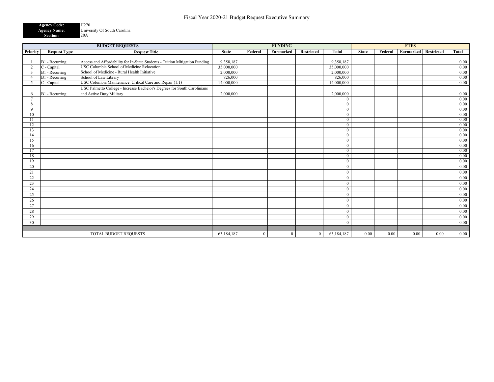| <b>Agency Code:</b> | H <sub>270</sub>             |
|---------------------|------------------------------|
| <b>Agency Name:</b> | University Of South Carolina |
| Section:            | 20A                          |

| <b>BUDGET REQUESTS</b> |                     | <b>FUNDING</b>                                                              |              |              | <b>FTES</b> |                   |              |              |         |           |            |          |
|------------------------|---------------------|-----------------------------------------------------------------------------|--------------|--------------|-------------|-------------------|--------------|--------------|---------|-----------|------------|----------|
| Priority               | <b>Request Type</b> | <b>Request Title</b>                                                        | <b>State</b> | Federal      | Earmarked   | <b>Restricted</b> | <b>Total</b> | <b>State</b> | Federal | Earmarked | Restricted | Total    |
|                        |                     |                                                                             |              |              |             |                   |              |              |         |           |            |          |
|                        | B1 - Recurring      | Access and Affordability for In-State Students - Tuition Mitigation Funding | 9,358,187    |              |             |                   | 9,358,187    |              |         |           |            | 0.00     |
| $\overline{2}$         | C - Capital         | USC Columbia School of Medicine Relocation                                  | 35,000,000   |              |             |                   | 35,000,000   |              |         |           |            | 0.00     |
| -3                     | B1 - Recurring      | School of Medicine - Rural Health Initiative                                | 2,000,000    |              |             |                   | 2,000,000    |              |         |           |            | 0.00     |
| $\overline{4}$         | B1 - Recurring      | School of Law Library                                                       | 826,000      |              |             |                   | 826,000      |              |         |           |            | 0.00     |
| -5                     | C - Capital         | USC Columbia Maintenance: Critical Care and Repair (1:1)                    | 14,000,000   |              |             |                   | 14,000,000   |              |         |           |            | 0.00     |
|                        |                     | USC Palmetto College - Increase Bachelor's Degrees for South Carolinians    |              |              |             |                   |              |              |         |           |            |          |
| 6                      | B1 - Recurring      | and Active Duty Military                                                    | 2,000,000    |              |             |                   | 2,000,000    |              |         |           |            | 0.00     |
|                        |                     |                                                                             |              |              |             |                   | $\theta$     |              |         |           |            | 0.00     |
| 8                      |                     |                                                                             |              |              |             |                   | $\Omega$     |              |         |           |            | 0.00     |
| 9                      |                     |                                                                             |              |              |             |                   | $\Omega$     |              |         |           |            | 0.00     |
| 10                     |                     |                                                                             |              |              |             |                   | $\theta$     |              |         |           |            | 0.00     |
| 11                     |                     |                                                                             |              |              |             |                   | $\mathbf{0}$ |              |         |           |            | 0.00     |
| 12                     |                     |                                                                             |              |              |             |                   | $\theta$     |              |         |           |            | 0.00     |
| 13                     |                     |                                                                             |              |              |             |                   | $\theta$     |              |         |           |            | 0.00     |
| 14                     |                     |                                                                             |              |              |             |                   | $\mathbf{0}$ |              |         |           |            | 0.00     |
| 15                     |                     |                                                                             |              |              |             |                   | $\mathbf{0}$ |              |         |           |            | 0.00     |
| 16                     |                     |                                                                             |              |              |             |                   | $\theta$     |              |         |           |            | 0.00     |
| 17                     |                     |                                                                             |              |              |             |                   | $\mathbf{0}$ |              |         |           |            | 0.00     |
| 18                     |                     |                                                                             |              |              |             |                   | $\theta$     |              |         |           |            | 0.00     |
| 19                     |                     |                                                                             |              |              |             |                   | $\mathbf{0}$ |              |         |           |            | 0.00     |
| 20                     |                     |                                                                             |              |              |             |                   | $\theta$     |              |         |           |            | 0.00     |
| 21                     |                     |                                                                             |              |              |             |                   | $\theta$     |              |         |           |            | 0.00     |
| 22                     |                     |                                                                             |              |              |             |                   | $\theta$     |              |         |           |            | 0.00     |
| 23                     |                     |                                                                             |              |              |             |                   | $\theta$     |              |         |           |            | 0.00     |
| 24                     |                     |                                                                             |              |              |             |                   | $\Omega$     |              |         |           |            | 0.00     |
| 25                     |                     |                                                                             |              |              |             |                   | $\Omega$     |              |         |           |            | 0.00     |
| 26                     |                     |                                                                             |              |              |             |                   | $\theta$     |              |         |           |            | 0.00     |
| 27                     |                     |                                                                             |              |              |             |                   | $\theta$     |              |         |           |            | 0.00     |
| 28                     |                     |                                                                             |              |              |             |                   | $\Omega$     |              |         |           |            | 0.00     |
| 29                     |                     |                                                                             |              |              |             |                   | $\theta$     |              |         |           |            | 0.00     |
| 30                     |                     |                                                                             |              |              |             |                   | $\Omega$     |              |         |           |            | 0.00     |
|                        |                     |                                                                             |              |              |             |                   |              |              |         |           |            |          |
|                        |                     | TOTAL BUDGET REQUESTS                                                       | 63,184,187   | $\mathbf{0}$ | $\Omega$    | $\overline{0}$    | 63,184,187   | 0.00         | 0.00    | 0.00      | 0.00       | $0.00\,$ |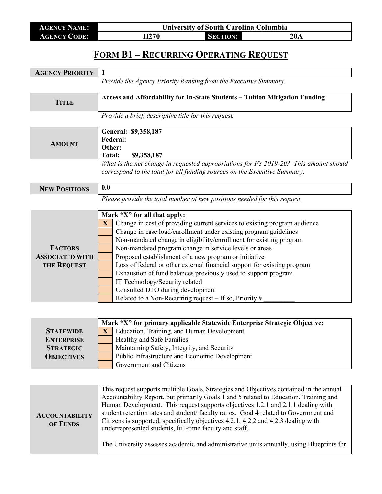| <b>AGENCY NAME:</b> | <b>University of South Carolina Columbia</b> |                 |     |  |
|---------------------|----------------------------------------------|-----------------|-----|--|
| <b>AGENCY CODE:</b> | H270                                         | <b>SECTION:</b> | 20A |  |

## **FORM B1 – RECURRING OPERATING REQUEST**

| <b>AGENCY PRIORITY</b> | 1                                                                                        |  |  |
|------------------------|------------------------------------------------------------------------------------------|--|--|
|                        | Provide the Agency Priority Ranking from the Executive Summary.                          |  |  |
|                        |                                                                                          |  |  |
| <b>TITLE</b>           | Access and Affordability for In-State Students - Tuition Mitigation Funding              |  |  |
|                        |                                                                                          |  |  |
|                        | Provide a brief, descriptive title for this request.                                     |  |  |
|                        |                                                                                          |  |  |
|                        | General: \$9,358,187                                                                     |  |  |
| <b>AMOUNT</b>          | <b>Federal:</b>                                                                          |  |  |
|                        | Other:                                                                                   |  |  |
|                        | <b>Total:</b><br>\$9,358,187                                                             |  |  |
|                        | What is the net change in requested appropriations for FY 2019-20? This amount should    |  |  |
|                        | correspond to the total for all funding sources on the Executive Summary.                |  |  |
| <b>NEW POSITIONS</b>   | 0.0                                                                                      |  |  |
|                        |                                                                                          |  |  |
|                        | Please provide the total number of new positions needed for this request.                |  |  |
|                        | Mark "X" for all that apply:                                                             |  |  |
|                        | Change in cost of providing current services to existing program audience<br>X           |  |  |
|                        | Change in case load/enrollment under existing program guidelines                         |  |  |
|                        | Non-mandated change in eligibility/enrollment for existing program                       |  |  |
| <b>FACTORS</b>         | Non-mandated program change in service levels or areas                                   |  |  |
| <b>ASSOCIATED WITH</b> | Proposed establishment of a new program or initiative                                    |  |  |
| <b>THE REQUEST</b>     | Loss of federal or other external financial support for existing program                 |  |  |
|                        | Exhaustion of fund balances previously used to support program                           |  |  |
|                        | IT Technology/Security related                                                           |  |  |
|                        | Consulted DTO during development                                                         |  |  |
|                        | Related to a Non-Recurring request $-$ If so, Priority #                                 |  |  |
|                        |                                                                                          |  |  |
|                        |                                                                                          |  |  |
|                        | Mark "X" for primary applicable Statewide Enterprise Strategic Objective:                |  |  |
| <b>STATEWIDE</b>       | Education, Training, and Human Development<br>$\mathbf{X}$                               |  |  |
| <b>ENTERPRISE</b>      | Healthy and Safe Families                                                                |  |  |
| <b>STRATEGIC</b>       | Maintaining Safety, Integrity, and Security                                              |  |  |
| <b>OBJECTIVES</b>      | Public Infrastructure and Economic Development                                           |  |  |
|                        | Government and Citizens                                                                  |  |  |
|                        |                                                                                          |  |  |
|                        |                                                                                          |  |  |
|                        | This request supports multiple Goals, Strategies and Objectives contained in the annual  |  |  |
|                        | Accountability Report, but primarily Goals 1 and 5 related to Education, Training and    |  |  |
|                        | Human Development. This request supports objectives 1.2.1 and 2.1.1 dealing with         |  |  |
| <b>ACCOUNTABILITY</b>  | student retention rates and student/faculty ratios. Goal 4 related to Government and     |  |  |
| OF FUNDS               | Citizens is supported, specifically objectives 4.2.1, 4.2.2 and 4.2.3 dealing with       |  |  |
|                        | underrepresented students, full-time faculty and staff.                                  |  |  |
|                        |                                                                                          |  |  |
|                        | The University assesses academic and administrative units annually, using Blueprints for |  |  |
|                        |                                                                                          |  |  |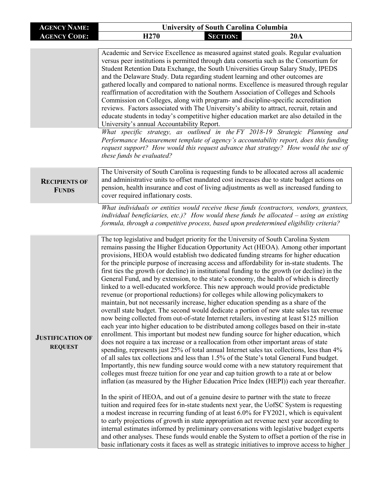| <b>AGENCY NAME:</b>                       | <b>University of South Carolina Columbia</b>                                                                                                                                                                                                                                                                                                                                                                                                                                                                                                                                                                                                                                                                                                                                                                                                                                                                                                                                                                                                                                                                                                                                                                                                                                                                                                                                                                                                                                                                                                                                                                                                                                                                                                                                                                                                                                                                                                                                                                                                                                                                                                                                                                                                                                                                                                                                                                                                                                                                                                                                                                                                                                                                                            |  |  |  |
|-------------------------------------------|-----------------------------------------------------------------------------------------------------------------------------------------------------------------------------------------------------------------------------------------------------------------------------------------------------------------------------------------------------------------------------------------------------------------------------------------------------------------------------------------------------------------------------------------------------------------------------------------------------------------------------------------------------------------------------------------------------------------------------------------------------------------------------------------------------------------------------------------------------------------------------------------------------------------------------------------------------------------------------------------------------------------------------------------------------------------------------------------------------------------------------------------------------------------------------------------------------------------------------------------------------------------------------------------------------------------------------------------------------------------------------------------------------------------------------------------------------------------------------------------------------------------------------------------------------------------------------------------------------------------------------------------------------------------------------------------------------------------------------------------------------------------------------------------------------------------------------------------------------------------------------------------------------------------------------------------------------------------------------------------------------------------------------------------------------------------------------------------------------------------------------------------------------------------------------------------------------------------------------------------------------------------------------------------------------------------------------------------------------------------------------------------------------------------------------------------------------------------------------------------------------------------------------------------------------------------------------------------------------------------------------------------------------------------------------------------------------------------------------------------|--|--|--|
| <b>AGENCY CODE:</b>                       | H <sub>270</sub><br><b>SECTION:</b><br>20A                                                                                                                                                                                                                                                                                                                                                                                                                                                                                                                                                                                                                                                                                                                                                                                                                                                                                                                                                                                                                                                                                                                                                                                                                                                                                                                                                                                                                                                                                                                                                                                                                                                                                                                                                                                                                                                                                                                                                                                                                                                                                                                                                                                                                                                                                                                                                                                                                                                                                                                                                                                                                                                                                              |  |  |  |
|                                           | Academic and Service Excellence as measured against stated goals. Regular evaluation<br>versus peer institutions is permitted through data consortia such as the Consortium for<br>Student Retention Data Exchange, the South Universities Group Salary Study, IPEDS<br>and the Delaware Study. Data regarding student learning and other outcomes are<br>gathered locally and compared to national norms. Excellence is measured through regular<br>reaffirmation of accreditation with the Southern Association of Colleges and Schools<br>Commission on Colleges, along with program- and discipline-specific accreditation<br>reviews. Factors associated with The University's ability to attract, recruit, retain and<br>educate students in today's competitive higher education market are also detailed in the<br>University's annual Accountability Report.<br>What specific strategy, as outlined in the $FY$ 2018-19 Strategic Planning and<br>Performance Measurement template of agency's accountability report, does this funding<br>request support? How would this request advance that strategy? How would the use of<br>these funds be evaluated?                                                                                                                                                                                                                                                                                                                                                                                                                                                                                                                                                                                                                                                                                                                                                                                                                                                                                                                                                                                                                                                                                                                                                                                                                                                                                                                                                                                                                                                                                                                                                                    |  |  |  |
| <b>RECIPIENTS OF</b><br><b>FUNDS</b>      | The University of South Carolina is requesting funds to be allocated across all academic<br>and administrative units to offset mandated cost increases due to state budget actions on<br>pension, health insurance and cost of living adjustments as well as increased funding to<br>cover required inflationary costs.                                                                                                                                                                                                                                                                                                                                                                                                                                                                                                                                                                                                                                                                                                                                                                                                                                                                                                                                                                                                                                                                                                                                                                                                                                                                                                                                                                                                                                                                                                                                                                                                                                                                                                                                                                                                                                                                                                                                                                                                                                                                                                                                                                                                                                                                                                                                                                                                                 |  |  |  |
| <b>JUSTIFICATION OF</b><br><b>REQUEST</b> | What individuals or entities would receive these funds (contractors, vendors, grantees,<br>individual beneficiaries, etc.)? How would these funds be allocated $-$ using an existing<br>formula, through a competitive process, based upon predetermined eligibility criteria?<br>The top legislative and budget priority for the University of South Carolina System<br>remains passing the Higher Education Opportunity Act (HEOA). Among other important<br>provisions, HEOA would establish two dedicated funding streams for higher education<br>for the principle purpose of increasing access and affordability for in-state students. The<br>first ties the growth (or decline) in institutional funding to the growth (or decline) in the<br>General Fund, and by extension, to the state's economy, the health of which is directly<br>linked to a well-educated workforce. This new approach would provide predictable<br>revenue (or proportional reductions) for colleges while allowing policymakers to<br>maintain, but not necessarily increase, higher education spending as a share of the<br>overall state budget. The second would dedicate a portion of new state sales tax revenue<br>now being collected from out-of-state Internet retailers, investing at least \$125 million<br>each year into higher education to be distributed among colleges based on their in-state<br>enrollment. This important but modest new funding source for higher education, which<br>does not require a tax increase or a reallocation from other important areas of state<br>spending, represents just 25% of total annual Internet sales tax collections, less than 4%<br>of all sales tax collections and less than 1.5% of the State's total General Fund budget.<br>Importantly, this new funding source would come with a new statutory requirement that<br>colleges must freeze tuition for one year and cap tuition growth to a rate at or below<br>inflation (as measured by the Higher Education Price Index (HEPI)) each year thereafter.<br>In the spirit of HEOA, and out of a genuine desire to partner with the state to freeze<br>tuition and required fees for in-state students next year, the UofSC System is requesting<br>a modest increase in recurring funding of at least 6.0% for FY2021, which is equivalent<br>to early projections of growth in state appropriation act revenue next year according to<br>internal estimates informed by preliminary conversations with legislative budget experts<br>and other analyses. These funds would enable the System to offset a portion of the rise in<br>basic inflationary costs it faces as well as strategic initiatives to improve access to higher |  |  |  |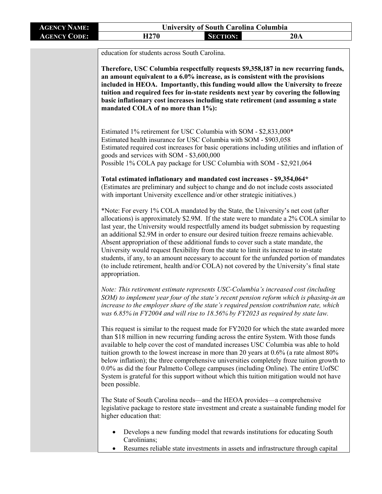| <b>AGENCY NAME:</b> | <b>University of South Carolina Columbia</b>                                                                                                                                                                                                                                                                                                                                                                                                                                                                                                                                                                                                                                                                                                           |  |  |  |  |
|---------------------|--------------------------------------------------------------------------------------------------------------------------------------------------------------------------------------------------------------------------------------------------------------------------------------------------------------------------------------------------------------------------------------------------------------------------------------------------------------------------------------------------------------------------------------------------------------------------------------------------------------------------------------------------------------------------------------------------------------------------------------------------------|--|--|--|--|
| <b>AGENCY CODE:</b> | <b>SECTION:</b><br>H <sub>270</sub><br>20A                                                                                                                                                                                                                                                                                                                                                                                                                                                                                                                                                                                                                                                                                                             |  |  |  |  |
|                     | education for students across South Carolina.                                                                                                                                                                                                                                                                                                                                                                                                                                                                                                                                                                                                                                                                                                          |  |  |  |  |
|                     | Therefore, USC Columbia respectfully requests \$9,358,187 in new recurring funds,<br>an amount equivalent to a 6.0% increase, as is consistent with the provisions<br>included in HEOA. Importantly, this funding would allow the University to freeze<br>tuition and required fees for in-state residents next year by covering the following<br>basic inflationary cost increases including state retirement (and assuming a state<br>mandated COLA of no more than 1%):                                                                                                                                                                                                                                                                             |  |  |  |  |
|                     | Estimated 1% retirement for USC Columbia with SOM - \$2,833,000*<br>Estimated health insurance for USC Columbia with SOM - \$903,058<br>Estimated required cost increases for basic operations including utilities and inflation of<br>goods and services with SOM - \$3,600,000<br>Possible 1% COLA pay package for USC Columbia with SOM - \$2,921,064                                                                                                                                                                                                                                                                                                                                                                                               |  |  |  |  |
|                     | Total estimated inflationary and mandated cost increases - \$9,354,064*<br>(Estimates are preliminary and subject to change and do not include costs associated<br>with important University excellence and/or other strategic initiatives.)                                                                                                                                                                                                                                                                                                                                                                                                                                                                                                           |  |  |  |  |
|                     | *Note: For every 1% COLA mandated by the State, the University's net cost (after<br>allocations) is approximately \$2.9M. If the state were to mandate a 2% COLA similar to<br>last year, the University would respectfully amend its budget submission by requesting<br>an additional \$2.9M in order to ensure our desired tuition freeze remains achievable.<br>Absent appropriation of these additional funds to cover such a state mandate, the<br>University would request flexibility from the state to limit its increase to in-state<br>students, if any, to an amount necessary to account for the unfunded portion of mandates<br>(to include retirement, health and/or COLA) not covered by the University's final state<br>appropriation. |  |  |  |  |
|                     | Note: This retirement estimate represents USC-Columbia's increased cost (including<br>SOM) to implement year four of the state's recent pension reform which is phasing-in an<br>increase to the employer share of the state's required pension contribution rate, which<br>was 6.85% in FY2004 and will rise to 18.56% by FY2023 as required by state law.                                                                                                                                                                                                                                                                                                                                                                                            |  |  |  |  |
|                     | This request is similar to the request made for FY2020 for which the state awarded more<br>than \$18 million in new recurring funding across the entire System. With those funds<br>available to help cover the cost of mandated increases USC Columbia was able to hold<br>tuition growth to the lowest increase in more than 20 years at $0.6\%$ (a rate almost $80\%$ )<br>below inflation); the three comprehensive universities completely froze tuition growth to<br>0.0% as did the four Palmetto College campuses (including Online). The entire UofSC<br>System is grateful for this support without which this tuition mitigation would not have<br>been possible.                                                                           |  |  |  |  |
|                     | The State of South Carolina needs—and the HEOA provides—a comprehensive<br>legislative package to restore state investment and create a sustainable funding model for<br>higher education that:                                                                                                                                                                                                                                                                                                                                                                                                                                                                                                                                                        |  |  |  |  |
|                     | Develops a new funding model that rewards institutions for educating South<br>Carolinians;<br>Resumes reliable state investments in assets and infrastructure through capital                                                                                                                                                                                                                                                                                                                                                                                                                                                                                                                                                                          |  |  |  |  |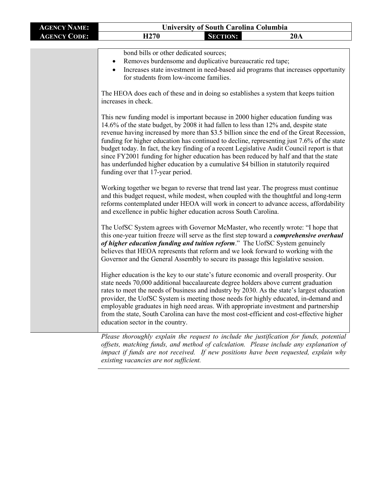| <b>AGENCY NAME:</b> | <b>University of South Carolina Columbia</b> |                 |     |
|---------------------|----------------------------------------------|-----------------|-----|
| <b>AGENCY CODE:</b> | H <sub>270</sub>                             | <b>SECTION:</b> | 20A |
|                     |                                              |                 |     |

bond bills or other dedicated sources;

- Removes burdensome and duplicative bureaucratic red tape;
- Increases state investment in need-based aid programs that increases opportunity for students from low-income families.

The HEOA does each of these and in doing so establishes a system that keeps tuition increases in check.

This new funding model is important because in 2000 higher education funding was 14.6% of the state budget, by 2008 it had fallen to less than 12% and, despite state revenue having increased by more than \$3.5 billion since the end of the Great Recession, funding for higher education has continued to decline, representing just 7.6% of the state budget today. In fact, the key finding of a recent Legislative Audit Council report is that since FY2001 funding for higher education has been reduced by half and that the state has underfunded higher education by a cumulative \$4 billion in statutorily required funding over that 17-year period.

Working together we began to reverse that trend last year. The progress must continue and this budget request, while modest, when coupled with the thoughtful and long-term reforms contemplated under HEOA will work in concert to advance access, affordability and excellence in public higher education across South Carolina.

The UofSC System agrees with Governor McMaster, who recently wrote: "I hope that this one-year tuition freeze will serve as the first step toward a *comprehensive overhaul of higher education funding and tuition reform*." The UofSC System genuinely believes that HEOA represents that reform and we look forward to working with the Governor and the General Assembly to secure its passage this legislative session.

Higher education is the key to our state's future economic and overall prosperity. Our state needs 70,000 additional baccalaureate degree holders above current graduation rates to meet the needs of business and industry by 2030. As the state's largest education provider, the UofSC System is meeting those needs for highly educated, in-demand and employable graduates in high need areas. With appropriate investment and partnership from the state, South Carolina can have the most cost-efficient and cost-effective higher education sector in the country.

*Please thoroughly explain the request to include the justification for funds, potential offsets, matching funds, and method of calculation. Please include any explanation of impact if funds are not received. If new positions have been requested, explain why existing vacancies are not sufficient.*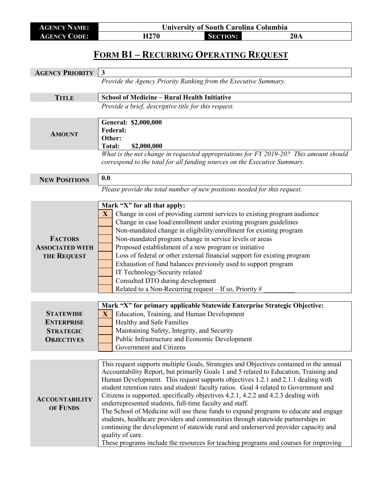| AGENCY NAME:        | <b>University of South Carolina Columbia</b> |                 |     |
|---------------------|----------------------------------------------|-----------------|-----|
| <b>AGENCY CODE:</b> | H270                                         | <b>SECTION:</b> | 20A |

## **FORM B1 – RECURRING OPERATING REQUEST**

| <b>AGENCY PRIORITY</b> | $\mathbf{3}$                                                                                                                                                       |  |  |
|------------------------|--------------------------------------------------------------------------------------------------------------------------------------------------------------------|--|--|
|                        | Provide the Agency Priority Ranking from the Executive Summary.                                                                                                    |  |  |
|                        |                                                                                                                                                                    |  |  |
| <b>TITLE</b>           | <b>School of Medicine - Rural Health Initiative</b>                                                                                                                |  |  |
|                        | Provide a brief, descriptive title for this request.                                                                                                               |  |  |
|                        |                                                                                                                                                                    |  |  |
|                        | General: \$2,000,000                                                                                                                                               |  |  |
| <b>AMOUNT</b>          | <b>Federal:</b>                                                                                                                                                    |  |  |
|                        | Other:                                                                                                                                                             |  |  |
|                        | <b>Total:</b><br>\$2,000,000                                                                                                                                       |  |  |
|                        | What is the net change in requested appropriations for FY 2019-20? This amount should<br>correspond to the total for all funding sources on the Executive Summary. |  |  |
|                        |                                                                                                                                                                    |  |  |
| <b>NEW POSITIONS</b>   | 0.0                                                                                                                                                                |  |  |
|                        | Please provide the total number of new positions needed for this request.                                                                                          |  |  |
|                        |                                                                                                                                                                    |  |  |
|                        | Mark "X" for all that apply:                                                                                                                                       |  |  |
|                        | Change in cost of providing current services to existing program audience<br>$\mathbf{X}$                                                                          |  |  |
|                        | Change in case load/enrollment under existing program guidelines                                                                                                   |  |  |
|                        | Non-mandated change in eligibility/enrollment for existing program                                                                                                 |  |  |
| <b>FACTORS</b>         | Non-mandated program change in service levels or areas                                                                                                             |  |  |
| <b>ASSOCIATED WITH</b> | Proposed establishment of a new program or initiative                                                                                                              |  |  |
| <b>THE REQUEST</b>     | Loss of federal or other external financial support for existing program                                                                                           |  |  |
|                        | Exhaustion of fund balances previously used to support program                                                                                                     |  |  |
|                        | IT Technology/Security related                                                                                                                                     |  |  |
|                        | Consulted DTO during development                                                                                                                                   |  |  |
|                        | Related to a Non-Recurring request $-$ If so, Priority #                                                                                                           |  |  |
|                        |                                                                                                                                                                    |  |  |
|                        | Mark "X" for primary applicable Statewide Enterprise Strategic Objective:                                                                                          |  |  |
| <b>STATEWIDE</b>       | Education, Training, and Human Development<br>$\mathbf{X}$                                                                                                         |  |  |
| <b>ENTERPRISE</b>      | Healthy and Safe Families                                                                                                                                          |  |  |
| <b>STRATEGIC</b>       | Maintaining Safety, Integrity, and Security                                                                                                                        |  |  |
| <b>OBJECTIVES</b>      | Public Infrastructure and Economic Development                                                                                                                     |  |  |
|                        | Government and Citizens                                                                                                                                            |  |  |
|                        | This request supports multiple Goals, Strategies and Objectives contained in the annual                                                                            |  |  |
|                        | Accountability Report, but primarily Goals 1 and 5 related to Education, Training and                                                                              |  |  |
|                        | Human Development. This request supports objectives 1.2.1 and 2.1.1 dealing with                                                                                   |  |  |
|                        | student retention rates and student/faculty ratios. Goal 4 related to Government and                                                                               |  |  |
|                        | Citizens is supported, specifically objectives 4.2.1, 4.2.2 and 4.2.3 dealing with                                                                                 |  |  |
| <b>ACCOUNTABILITY</b>  | underrepresented students, full-time faculty and staff.                                                                                                            |  |  |
| OF FUNDS               | The School of Medicine will use these funds to expand programs to educate and engage                                                                               |  |  |
|                        | students, healthcare providers and communities through statewide partnerships in                                                                                   |  |  |
|                        | continuing the development of statewide rural and underserved provider capacity and                                                                                |  |  |
|                        | quality of care.                                                                                                                                                   |  |  |
|                        | These programs include the resources for teaching programs and courses for improving                                                                               |  |  |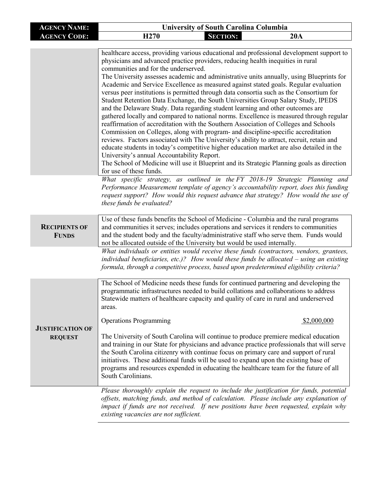| <b>AGENCY NAME:</b>                       | <b>University of South Carolina Columbia</b>                                                                                                                                                                                                                                                                                                                                                                                                                                                                                                                                                                                                                                                                                                                                                                                                                                                                                                                                                                                                                                                                                                                                                                                                                                                                      |  |  |  |
|-------------------------------------------|-------------------------------------------------------------------------------------------------------------------------------------------------------------------------------------------------------------------------------------------------------------------------------------------------------------------------------------------------------------------------------------------------------------------------------------------------------------------------------------------------------------------------------------------------------------------------------------------------------------------------------------------------------------------------------------------------------------------------------------------------------------------------------------------------------------------------------------------------------------------------------------------------------------------------------------------------------------------------------------------------------------------------------------------------------------------------------------------------------------------------------------------------------------------------------------------------------------------------------------------------------------------------------------------------------------------|--|--|--|
| <b>AGENCY CODE:</b>                       | H <sub>270</sub><br><b>SECTION:</b><br>20A                                                                                                                                                                                                                                                                                                                                                                                                                                                                                                                                                                                                                                                                                                                                                                                                                                                                                                                                                                                                                                                                                                                                                                                                                                                                        |  |  |  |
|                                           |                                                                                                                                                                                                                                                                                                                                                                                                                                                                                                                                                                                                                                                                                                                                                                                                                                                                                                                                                                                                                                                                                                                                                                                                                                                                                                                   |  |  |  |
|                                           | healthcare access, providing various educational and professional development support to<br>physicians and advanced practice providers, reducing health inequities in rural<br>communities and for the underserved.<br>The University assesses academic and administrative units annually, using Blueprints for<br>Academic and Service Excellence as measured against stated goals. Regular evaluation<br>versus peer institutions is permitted through data consortia such as the Consortium for<br>Student Retention Data Exchange, the South Universities Group Salary Study, IPEDS<br>and the Delaware Study. Data regarding student learning and other outcomes are<br>gathered locally and compared to national norms. Excellence is measured through regular<br>reaffirmation of accreditation with the Southern Association of Colleges and Schools<br>Commission on Colleges, along with program- and discipline-specific accreditation<br>reviews. Factors associated with The University's ability to attract, recruit, retain and<br>educate students in today's competitive higher education market are also detailed in the<br>University's annual Accountability Report.<br>The School of Medicine will use it Blueprint and its Strategic Planning goals as direction<br>for use of these funds. |  |  |  |
|                                           | What specific strategy, as outlined in the FY 2018-19 Strategic Planning and<br>Performance Measurement template of agency's accountability report, does this funding<br>request support? How would this request advance that strategy? How would the use of<br>these funds be evaluated?                                                                                                                                                                                                                                                                                                                                                                                                                                                                                                                                                                                                                                                                                                                                                                                                                                                                                                                                                                                                                         |  |  |  |
| <b>RECIPIENTS OF</b><br><b>FUNDS</b>      | Use of these funds benefits the School of Medicine - Columbia and the rural programs<br>and communities it serves; includes operations and services it renders to communities<br>and the student body and the faculty/administrative staff who serve them. Funds would<br>not be allocated outside of the University but would be used internally.                                                                                                                                                                                                                                                                                                                                                                                                                                                                                                                                                                                                                                                                                                                                                                                                                                                                                                                                                                |  |  |  |
|                                           | What individuals or entities would receive these funds (contractors, vendors, grantees,<br>individual beneficiaries, etc.)? How would these funds be allocated - using an existing<br>formula, through a competitive process, based upon predetermined eligibility criteria?                                                                                                                                                                                                                                                                                                                                                                                                                                                                                                                                                                                                                                                                                                                                                                                                                                                                                                                                                                                                                                      |  |  |  |
| <b>JUSTIFICATION OF</b><br><b>REQUEST</b> | The School of Medicine needs these funds for continued partnering and developing the<br>programmatic infrastructures needed to build collations and collaborations to address<br>Statewide matters of healthcare capacity and quality of care in rural and underserved<br>areas.<br><b>Operations Programming</b><br>\$2,000,000<br>The University of South Carolina will continue to produce premiere medical education                                                                                                                                                                                                                                                                                                                                                                                                                                                                                                                                                                                                                                                                                                                                                                                                                                                                                          |  |  |  |
|                                           | and training in our State for physicians and advance practice professionals that will serve<br>the South Carolina citizenry with continue focus on primary care and support of rural<br>initiatives. These additional funds will be used to expand upon the existing base of<br>programs and resources expended in educating the healthcare team for the future of all<br>South Carolinians.                                                                                                                                                                                                                                                                                                                                                                                                                                                                                                                                                                                                                                                                                                                                                                                                                                                                                                                      |  |  |  |
|                                           | Please thoroughly explain the request to include the justification for funds, potential<br>offsets, matching funds, and method of calculation. Please include any explanation of<br>impact if funds are not received. If new positions have been requested, explain why<br>existing vacancies are not sufficient.                                                                                                                                                                                                                                                                                                                                                                                                                                                                                                                                                                                                                                                                                                                                                                                                                                                                                                                                                                                                 |  |  |  |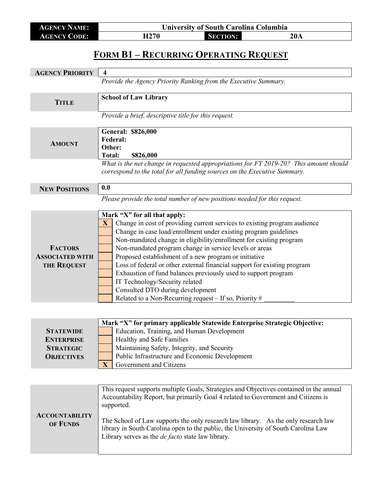| <b>AGENCY NAME:</b> | <b>University of South Carolina Columbia</b> |                 |     |
|---------------------|----------------------------------------------|-----------------|-----|
| <b>AGENCY CODE:</b> | H270                                         | <b>SECTION:</b> | 20A |

# **FORM B1 – RECURRING OPERATING REQUEST**

| <b>AGENCY PRIORITY</b>                                                         | $\overline{\mathbf{4}}$                                                                                                                                                                                                                                                                                                                                                                                                                                                                                                                                                                                                                                              |  |  |
|--------------------------------------------------------------------------------|----------------------------------------------------------------------------------------------------------------------------------------------------------------------------------------------------------------------------------------------------------------------------------------------------------------------------------------------------------------------------------------------------------------------------------------------------------------------------------------------------------------------------------------------------------------------------------------------------------------------------------------------------------------------|--|--|
|                                                                                | Provide the Agency Priority Ranking from the Executive Summary.                                                                                                                                                                                                                                                                                                                                                                                                                                                                                                                                                                                                      |  |  |
| <b>TITLE</b>                                                                   | <b>School of Law Library</b>                                                                                                                                                                                                                                                                                                                                                                                                                                                                                                                                                                                                                                         |  |  |
|                                                                                | Provide a brief, descriptive title for this request.                                                                                                                                                                                                                                                                                                                                                                                                                                                                                                                                                                                                                 |  |  |
| <b>AMOUNT</b>                                                                  | <b>General: \$826,000</b><br>Federal:<br>Other:<br><b>Total:</b><br>\$826,000                                                                                                                                                                                                                                                                                                                                                                                                                                                                                                                                                                                        |  |  |
|                                                                                | What is the net change in requested appropriations for FY 2019-20? This amount should<br>correspond to the total for all funding sources on the Executive Summary.                                                                                                                                                                                                                                                                                                                                                                                                                                                                                                   |  |  |
| <b>NEW POSITIONS</b>                                                           | 0.0                                                                                                                                                                                                                                                                                                                                                                                                                                                                                                                                                                                                                                                                  |  |  |
|                                                                                | Please provide the total number of new positions needed for this request.                                                                                                                                                                                                                                                                                                                                                                                                                                                                                                                                                                                            |  |  |
| <b>FACTORS</b><br><b>ASSOCIATED WITH</b><br><b>THE REQUEST</b>                 | Mark "X" for all that apply:<br>Change in cost of providing current services to existing program audience<br>$\mathbf{X}$<br>Change in case load/enrollment under existing program guidelines<br>Non-mandated change in eligibility/enrollment for existing program<br>Non-mandated program change in service levels or areas<br>Proposed establishment of a new program or initiative<br>Loss of federal or other external financial support for existing program<br>Exhaustion of fund balances previously used to support program<br>IT Technology/Security related<br>Consulted DTO during development<br>Related to a Non-Recurring request - If so, Priority # |  |  |
| <b>STATEWIDE</b><br><b>ENTERPRISE</b><br><b>STRATEGIC</b><br><b>OBJECTIVES</b> | Mark "X" for primary applicable Statewide Enterprise Strategic Objective:<br>Education, Training, and Human Development<br>Healthy and Safe Families<br>Maintaining Safety, Integrity, and Security<br>Public Infrastructure and Economic Development<br>$\mathbf{X}$<br>Government and Citizens                                                                                                                                                                                                                                                                                                                                                                     |  |  |
| <b>ACCOUNTABILITY</b><br>OF FUNDS                                              | This request supports multiple Goals, Strategies and Objectives contained in the annual<br>Accountability Report, but primarily Goal 4 related to Government and Citizens is<br>supported.<br>The School of Law supports the only research law library. As the only research law<br>library in South Carolina open to the public, the University of South Carolina Law<br>Library serves as the <i>de facto</i> state law library.                                                                                                                                                                                                                                   |  |  |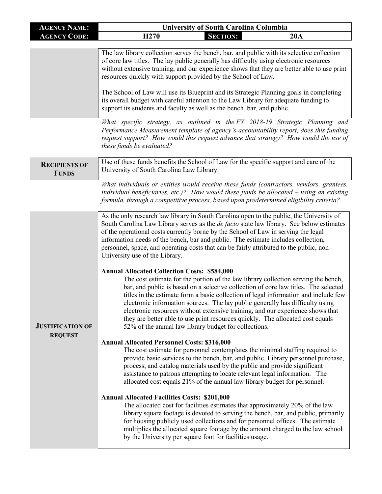| <b>AGENCY NAME:</b>                       | <b>University of South Carolina Columbia</b>                                                                                                                                                                                                                                                                                                                                                                                                                                                                                                                                                                                                                                                                                                                                                                                                                                                                                                                                                                                                                                                                                                                                                                                                                                                                                                                                                                                                                                                                                                                                                                                                                                                                                                                                                                                                                                                                                                                                                                                                                                  |  |  |
|-------------------------------------------|-------------------------------------------------------------------------------------------------------------------------------------------------------------------------------------------------------------------------------------------------------------------------------------------------------------------------------------------------------------------------------------------------------------------------------------------------------------------------------------------------------------------------------------------------------------------------------------------------------------------------------------------------------------------------------------------------------------------------------------------------------------------------------------------------------------------------------------------------------------------------------------------------------------------------------------------------------------------------------------------------------------------------------------------------------------------------------------------------------------------------------------------------------------------------------------------------------------------------------------------------------------------------------------------------------------------------------------------------------------------------------------------------------------------------------------------------------------------------------------------------------------------------------------------------------------------------------------------------------------------------------------------------------------------------------------------------------------------------------------------------------------------------------------------------------------------------------------------------------------------------------------------------------------------------------------------------------------------------------------------------------------------------------------------------------------------------------|--|--|
| <b>AGENCY CODE:</b>                       | H <sub>270</sub><br><b>SECTION:</b><br>20A                                                                                                                                                                                                                                                                                                                                                                                                                                                                                                                                                                                                                                                                                                                                                                                                                                                                                                                                                                                                                                                                                                                                                                                                                                                                                                                                                                                                                                                                                                                                                                                                                                                                                                                                                                                                                                                                                                                                                                                                                                    |  |  |
|                                           | The law library collection serves the bench, bar, and public with its selective collection<br>of core law titles. The lay public generally has difficulty using electronic resources<br>without extensive training, and our experience shows that they are better able to use print<br>resources quickly with support provided by the School of Law.<br>The School of Law will use its Blueprint and its Strategic Planning goals in completing<br>its overall budget with careful attention to the Law Library for adequate funding to<br>support its students and faculty as well as the bench, bar, and public.                                                                                                                                                                                                                                                                                                                                                                                                                                                                                                                                                                                                                                                                                                                                                                                                                                                                                                                                                                                                                                                                                                                                                                                                                                                                                                                                                                                                                                                            |  |  |
|                                           | What specific strategy, as outlined in the FY 2018-19 Strategic Planning and<br>Performance Measurement template of agency's accountability report, does this funding<br>request support? How would this request advance that strategy? How would the use of<br>these funds be evaluated?                                                                                                                                                                                                                                                                                                                                                                                                                                                                                                                                                                                                                                                                                                                                                                                                                                                                                                                                                                                                                                                                                                                                                                                                                                                                                                                                                                                                                                                                                                                                                                                                                                                                                                                                                                                     |  |  |
| <b>RECIPIENTS OF</b><br><b>FUNDS</b>      | Use of these funds benefits the School of Law for the specific support and care of the<br>University of South Carolina Law Library.                                                                                                                                                                                                                                                                                                                                                                                                                                                                                                                                                                                                                                                                                                                                                                                                                                                                                                                                                                                                                                                                                                                                                                                                                                                                                                                                                                                                                                                                                                                                                                                                                                                                                                                                                                                                                                                                                                                                           |  |  |
|                                           | What individuals or entities would receive these funds (contractors, vendors, grantees,<br>individual beneficiaries, etc.)? How would these funds be allocated - using an existing<br>formula, through a competitive process, based upon predetermined eligibility criteria?                                                                                                                                                                                                                                                                                                                                                                                                                                                                                                                                                                                                                                                                                                                                                                                                                                                                                                                                                                                                                                                                                                                                                                                                                                                                                                                                                                                                                                                                                                                                                                                                                                                                                                                                                                                                  |  |  |
| <b>JUSTIFICATION OF</b><br><b>REQUEST</b> | As the only research law library in South Carolina open to the public, the University of<br>South Carolina Law Library serves as the <i>de facto</i> state law library. See below estimates<br>of the operational costs currently borne by the School of Law in serving the legal<br>information needs of the bench, bar and public. The estimate includes collection,<br>personnel, space, and operating costs that can be fairly attributed to the public, non-<br>University use of the Library.<br><b>Annual Allocated Collection Costs: \$584,000</b><br>The cost estimate for the portion of the law library collection serving the bench,<br>bar, and public is based on a selective collection of core law titles. The selected<br>titles in the estimate form a basic collection of legal information and include few<br>electronic information sources. The lay public generally has difficulty using<br>electronic resources without extensive training, and our experience shows that<br>they are better able to use print resources quickly. The allocated cost equals<br>52% of the annual law library budget for collections.<br><b>Annual Allocated Personnel Costs: \$316,000</b><br>The cost estimate for personnel contemplates the minimal staffing required to<br>provide basic services to the bench, bar, and public. Library personnel purchase,<br>process, and catalog materials used by the public and provide significant<br>assistance to patrons attempting to locate relevant legal information. The<br>allocated cost equals 21% of the annual law library budget for personnel.<br><b>Annual Allocated Facilities Costs: \$201,000</b><br>The allocated cost for facilities estimates that approximately 20% of the law<br>library square footage is devoted to serving the bench, bar, and public, primarily<br>for housing publicly used collections and for personnel offices. The estimate<br>multiplies the allocated square footage by the amount charged to the law school<br>by the University per square foot for facilities usage. |  |  |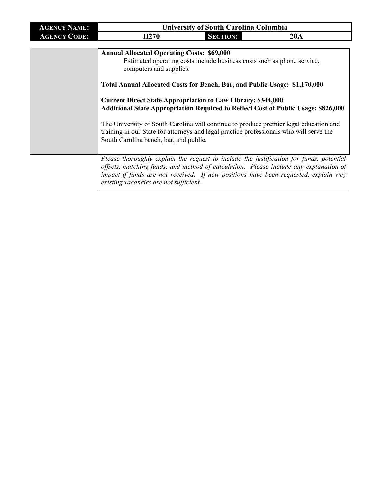| <b>AGENCY NAME:</b> |                  |                 | <b>University of South Carolina Columbia</b> |
|---------------------|------------------|-----------------|----------------------------------------------|
| <b>AGENCY CODE:</b> | H <sub>270</sub> | <b>SECTION:</b> | 20A                                          |

| <b>Annual Allocated Operating Costs: \$69,000</b><br>Estimated operating costs include business costs such as phone service,<br>computers and supplies.                                                                    |
|----------------------------------------------------------------------------------------------------------------------------------------------------------------------------------------------------------------------------|
| Total Annual Allocated Costs for Bench, Bar, and Public Usage: \$1,170,000                                                                                                                                                 |
| <b>Current Direct State Appropriation to Law Library: \$344,000</b><br><b>Additional State Appropriation Required to Reflect Cost of Public Usage: \$826,000</b>                                                           |
| The University of South Carolina will continue to produce premier legal education and<br>training in our State for attorneys and legal practice professionals who will serve the<br>South Carolina bench, bar, and public. |
|                                                                                                                                                                                                                            |

*Please thoroughly explain the request to include the justification for funds, potential offsets, matching funds, and method of calculation. Please include any explanation of impact if funds are not received. If new positions have been requested, explain why existing vacancies are not sufficient.*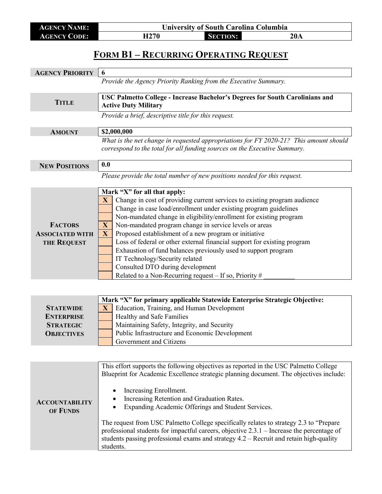**AGENCY NAME: University of South Carolina Columbia**<br> **AGENCY CODE: H270 SECTION: AGENCY CODE: H270 SECTION: 20A**

#### **FORM B1 – RECURRING OPERATING REQUEST**

| <b>AGENCY PRIORITY</b>                                                         | 6                                                                                                                                                                                                                                                                                                                                                                                                                                                                                                                                                                                                                                                                                                      |  |  |
|--------------------------------------------------------------------------------|--------------------------------------------------------------------------------------------------------------------------------------------------------------------------------------------------------------------------------------------------------------------------------------------------------------------------------------------------------------------------------------------------------------------------------------------------------------------------------------------------------------------------------------------------------------------------------------------------------------------------------------------------------------------------------------------------------|--|--|
|                                                                                | Provide the Agency Priority Ranking from the Executive Summary.                                                                                                                                                                                                                                                                                                                                                                                                                                                                                                                                                                                                                                        |  |  |
|                                                                                |                                                                                                                                                                                                                                                                                                                                                                                                                                                                                                                                                                                                                                                                                                        |  |  |
| <b>TITLE</b>                                                                   | USC Palmetto College - Increase Bachelor's Degrees for South Carolinians and<br><b>Active Duty Military</b>                                                                                                                                                                                                                                                                                                                                                                                                                                                                                                                                                                                            |  |  |
|                                                                                | Provide a brief, descriptive title for this request.                                                                                                                                                                                                                                                                                                                                                                                                                                                                                                                                                                                                                                                   |  |  |
| <b>AMOUNT</b>                                                                  | \$2,000,000                                                                                                                                                                                                                                                                                                                                                                                                                                                                                                                                                                                                                                                                                            |  |  |
|                                                                                | What is the net change in requested appropriations for FY 2020-21? This amount should<br>correspond to the total for all funding sources on the Executive Summary.                                                                                                                                                                                                                                                                                                                                                                                                                                                                                                                                     |  |  |
| <b>NEW POSITIONS</b>                                                           | 0.0                                                                                                                                                                                                                                                                                                                                                                                                                                                                                                                                                                                                                                                                                                    |  |  |
|                                                                                | Please provide the total number of new positions needed for this request.                                                                                                                                                                                                                                                                                                                                                                                                                                                                                                                                                                                                                              |  |  |
| <b>FACTORS</b><br><b>ASSOCIATED WITH</b><br>THE REQUEST                        | Mark "X" for all that apply:<br>Change in cost of providing current services to existing program audience<br>$\mathbf{X}$<br>Change in case load/enrollment under existing program guidelines<br>Non-mandated change in eligibility/enrollment for existing program<br>Non-mandated program change in service levels or areas<br>$\mathbf{X}$<br>Proposed establishment of a new program or initiative<br>$\mathbf{X}$<br>Loss of federal or other external financial support for existing program<br>Exhaustion of fund balances previously used to support program<br>IT Technology/Security related<br>Consulted DTO during development<br>Related to a Non-Recurring request $-$ If so, Priority # |  |  |
| <b>STATEWIDE</b><br><b>ENTERPRISE</b><br><b>STRATEGIC</b><br><b>OBJECTIVES</b> | Mark "X" for primary applicable Statewide Enterprise Strategic Objective:<br>Education, Training, and Human Development<br>$\mathbf{X}$<br>Healthy and Safe Families<br>Maintaining Safety, Integrity, and Security<br>Public Infrastructure and Economic Development<br>Government and Citizens                                                                                                                                                                                                                                                                                                                                                                                                       |  |  |
|                                                                                | This effort supports the following objectives as reported in the USC Palmetto College<br>Blueprint for Academic Excellence strategic planning document. The objectives include:<br>Increasing Enrollment.                                                                                                                                                                                                                                                                                                                                                                                                                                                                                              |  |  |

• Increasing Retention and Graduation Rates.

• Expanding Academic Offerings and Student Services.

The request from USC Palmetto College specifically relates to strategy 2.3 to "Prepare professional students for impactful careers, objective 2.3.1 – Increase the percentage of students passing professional exams and strategy 4.2 – Recruit and retain high-quality

**ACCOUNTABILITY OF FUNDS**

students.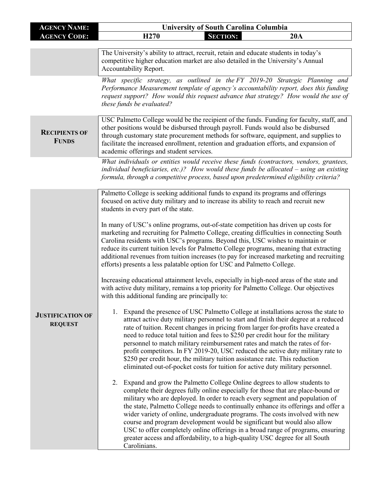| <b>AGENCY NAME:</b>                       | <b>University of South Carolina Columbia</b>                                                                                                                                                                                                                                                                                                                                                                                                                                                                                                                                                                                                                                                                                                                                                                                                                                                                                                                                                                                                                                                                                                                                                                                                                                                                                                                                                                                                                                                                                                                                                                                                                                                                                                                                                                                                                                                                                                                                                                                                                                                                                                                                                                                                                                                                                                                                                |  |  |
|-------------------------------------------|---------------------------------------------------------------------------------------------------------------------------------------------------------------------------------------------------------------------------------------------------------------------------------------------------------------------------------------------------------------------------------------------------------------------------------------------------------------------------------------------------------------------------------------------------------------------------------------------------------------------------------------------------------------------------------------------------------------------------------------------------------------------------------------------------------------------------------------------------------------------------------------------------------------------------------------------------------------------------------------------------------------------------------------------------------------------------------------------------------------------------------------------------------------------------------------------------------------------------------------------------------------------------------------------------------------------------------------------------------------------------------------------------------------------------------------------------------------------------------------------------------------------------------------------------------------------------------------------------------------------------------------------------------------------------------------------------------------------------------------------------------------------------------------------------------------------------------------------------------------------------------------------------------------------------------------------------------------------------------------------------------------------------------------------------------------------------------------------------------------------------------------------------------------------------------------------------------------------------------------------------------------------------------------------------------------------------------------------------------------------------------------------|--|--|
| <b>AGENCY CODE:</b>                       | H <sub>270</sub><br><b>SECTION:</b><br>20A                                                                                                                                                                                                                                                                                                                                                                                                                                                                                                                                                                                                                                                                                                                                                                                                                                                                                                                                                                                                                                                                                                                                                                                                                                                                                                                                                                                                                                                                                                                                                                                                                                                                                                                                                                                                                                                                                                                                                                                                                                                                                                                                                                                                                                                                                                                                                  |  |  |
|                                           | The University's ability to attract, recruit, retain and educate students in today's<br>competitive higher education market are also detailed in the University's Annual<br>Accountability Report.                                                                                                                                                                                                                                                                                                                                                                                                                                                                                                                                                                                                                                                                                                                                                                                                                                                                                                                                                                                                                                                                                                                                                                                                                                                                                                                                                                                                                                                                                                                                                                                                                                                                                                                                                                                                                                                                                                                                                                                                                                                                                                                                                                                          |  |  |
|                                           | What specific strategy, as outlined in the FY 2019-20 Strategic Planning and<br>Performance Measurement template of agency's accountability report, does this funding<br>request support? How would this request advance that strategy? How would the use of<br>these funds be evaluated?                                                                                                                                                                                                                                                                                                                                                                                                                                                                                                                                                                                                                                                                                                                                                                                                                                                                                                                                                                                                                                                                                                                                                                                                                                                                                                                                                                                                                                                                                                                                                                                                                                                                                                                                                                                                                                                                                                                                                                                                                                                                                                   |  |  |
| <b>RECIPIENTS OF</b><br><b>FUNDS</b>      | USC Palmetto College would be the recipient of the funds. Funding for faculty, staff, and<br>other positions would be disbursed through payroll. Funds would also be disbursed<br>through customary state procurement methods for software, equipment, and supplies to<br>facilitate the increased enrollment, retention and graduation efforts, and expansion of<br>academic offerings and student services.                                                                                                                                                                                                                                                                                                                                                                                                                                                                                                                                                                                                                                                                                                                                                                                                                                                                                                                                                                                                                                                                                                                                                                                                                                                                                                                                                                                                                                                                                                                                                                                                                                                                                                                                                                                                                                                                                                                                                                               |  |  |
|                                           | What individuals or entities would receive these funds (contractors, vendors, grantees,<br>individual beneficiaries, etc.)? How would these funds be allocated - using an existing<br>formula, through a competitive process, based upon predetermined eligibility criteria?                                                                                                                                                                                                                                                                                                                                                                                                                                                                                                                                                                                                                                                                                                                                                                                                                                                                                                                                                                                                                                                                                                                                                                                                                                                                                                                                                                                                                                                                                                                                                                                                                                                                                                                                                                                                                                                                                                                                                                                                                                                                                                                |  |  |
| <b>JUSTIFICATION OF</b><br><b>REQUEST</b> | Palmetto College is seeking additional funds to expand its programs and offerings<br>focused on active duty military and to increase its ability to reach and recruit new<br>students in every part of the state.<br>In many of USC's online programs, out-of-state competition has driven up costs for<br>marketing and recruiting for Palmetto College, creating difficulties in connecting South<br>Carolina residents with USC's programs. Beyond this, USC wishes to maintain or<br>reduce its current tuition levels for Palmetto College programs, meaning that extracting<br>additional revenues from tuition increases (to pay for increased marketing and recruiting<br>efforts) presents a less palatable option for USC and Palmetto College.<br>Increasing educational attainment levels, especially in high-need areas of the state and<br>with active duty military, remains a top priority for Palmetto College. Our objectives<br>with this additional funding are principally to:<br>Expand the presence of USC Palmetto College at installations across the state to<br>1.<br>attract active duty military personnel to start and finish their degree at a reduced<br>rate of tuition. Recent changes in pricing from larger for-profits have created a<br>need to reduce total tuition and fees to \$250 per credit hour for the military<br>personnel to match military reimbursement rates and match the rates of for-<br>profit competitors. In FY 2019-20, USC reduced the active duty military rate to<br>\$250 per credit hour, the military tuition assistance rate. This reduction<br>eliminated out-of-pocket costs for tuition for active duty military personnel.<br>Expand and grow the Palmetto College Online degrees to allow students to<br>2.<br>complete their degrees fully online especially for those that are place-bound or<br>military who are deployed. In order to reach every segment and population of<br>the state, Palmetto College needs to continually enhance its offerings and offer a<br>wider variety of online, undergraduate programs. The costs involved with new<br>course and program development would be significant but would also allow<br>USC to offer completely online offerings in a broad range of programs, ensuring<br>greater access and affordability, to a high-quality USC degree for all South<br>Carolinians. |  |  |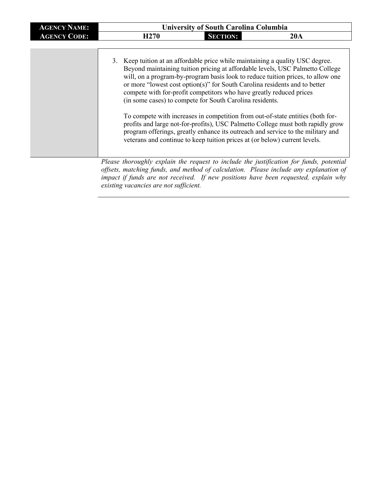| <b>AGENCY NAME:</b> |                  | <b>University of South Carolina Columbia</b>                                                                                                                                                                                                                                                                                                                                                                                                                    |                                                                                                                                                                                                                                                                                                                                        |
|---------------------|------------------|-----------------------------------------------------------------------------------------------------------------------------------------------------------------------------------------------------------------------------------------------------------------------------------------------------------------------------------------------------------------------------------------------------------------------------------------------------------------|----------------------------------------------------------------------------------------------------------------------------------------------------------------------------------------------------------------------------------------------------------------------------------------------------------------------------------------|
| <b>AGENCY CODE:</b> | H <sub>270</sub> | <b>SECTION:</b>                                                                                                                                                                                                                                                                                                                                                                                                                                                 | 20A                                                                                                                                                                                                                                                                                                                                    |
|                     |                  | 3. Keep tuition at an affordable price while maintaining a quality USC degree.<br>or more "lowest cost option(s)" for South Carolina residents and to better<br>compete with for-profit competitors who have greatly reduced prices<br>(in some cases) to compete for South Carolina residents.<br>To compete with increases in competition from out-of-state entities (both for-<br>veterans and continue to keep tuition prices at (or below) current levels. | Beyond maintaining tuition pricing at affordable levels, USC Palmetto College<br>will, on a program-by-program basis look to reduce tuition prices, to allow one<br>profits and large not-for-profits), USC Palmetto College must both rapidly grow<br>program offerings, greatly enhance its outreach and service to the military and |

*Please thoroughly explain the request to include the justification for funds, potential offsets, matching funds, and method of calculation. Please include any explanation of impact if funds are not received. If new positions have been requested, explain why existing vacancies are not sufficient.*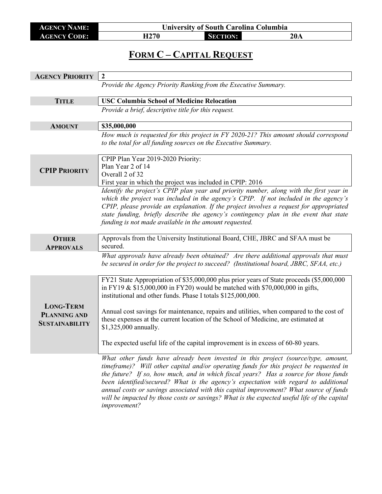**AGENCY NAME: University of South Carolina Columbia AGENCY CODE: H270 SECTION: 20A**

### **FORM C – CAPITAL REQUEST**

| <b>AGENCY PRIORITY</b>                  | $\boldsymbol{2}$                                                                                                                                                                                                                                                                                                                                                                                                                                                                                                                                                    |
|-----------------------------------------|---------------------------------------------------------------------------------------------------------------------------------------------------------------------------------------------------------------------------------------------------------------------------------------------------------------------------------------------------------------------------------------------------------------------------------------------------------------------------------------------------------------------------------------------------------------------|
|                                         | Provide the Agency Priority Ranking from the Executive Summary.                                                                                                                                                                                                                                                                                                                                                                                                                                                                                                     |
| <b>TITLE</b>                            | <b>USC Columbia School of Medicine Relocation</b>                                                                                                                                                                                                                                                                                                                                                                                                                                                                                                                   |
|                                         | Provide a brief, descriptive title for this request.                                                                                                                                                                                                                                                                                                                                                                                                                                                                                                                |
|                                         |                                                                                                                                                                                                                                                                                                                                                                                                                                                                                                                                                                     |
| <b>AMOUNT</b>                           | \$35,000,000                                                                                                                                                                                                                                                                                                                                                                                                                                                                                                                                                        |
|                                         | How much is requested for this project in FY 2020-21? This amount should correspond<br>to the total for all funding sources on the Executive Summary.                                                                                                                                                                                                                                                                                                                                                                                                               |
| <b>CPIP PRIORITY</b>                    | CPIP Plan Year 2019-2020 Priority:<br>Plan Year 2 of 14<br>Overall 2 of 32<br>First year in which the project was included in CPIP: 2016                                                                                                                                                                                                                                                                                                                                                                                                                            |
|                                         | Identify the project's CPIP plan year and priority number, along with the first year in<br>which the project was included in the agency's CPIP. If not included in the agency's<br>CPIP, please provide an explanation. If the project involves a request for appropriated<br>state funding, briefly describe the agency's contingency plan in the event that state<br>funding is not made available in the amount requested.                                                                                                                                       |
| <b>OTHER</b><br><b>APPROVALS</b>        | Approvals from the University Institutional Board, CHE, JBRC and SFAA must be<br>secured.                                                                                                                                                                                                                                                                                                                                                                                                                                                                           |
|                                         | What approvals have already been obtained? Are there additional approvals that must<br>be secured in order for the project to succeed? (Institutional board, JBRC, SFAA, etc.)                                                                                                                                                                                                                                                                                                                                                                                      |
| <b>LONG-TERM</b><br><b>PLANNING AND</b> | FY21 State Appropriation of \$35,000,000 plus prior years of State proceeds (\$5,000,000<br>in FY19 & \$15,000,000 in FY20) would be matched with \$70,000,000 in gifts,<br>institutional and other funds. Phase I totals \$125,000,000.<br>Annual cost savings for maintenance, repairs and utilities, when compared to the cost of<br>these expenses at the current location of the School of Medicine, are estimated at                                                                                                                                          |
| <b>SUSTAINABILITY</b>                   | \$1,325,000 annually.<br>The expected useful life of the capital improvement is in excess of 60-80 years.                                                                                                                                                                                                                                                                                                                                                                                                                                                           |
|                                         | What other funds have already been invested in this project (source/type, amount,<br>timeframe)? Will other capital and/or operating funds for this project be requested in<br>the future? If so, how much, and in which fiscal years? Has a source for those funds<br>been identified/secured? What is the agency's expectation with regard to additional<br>annual costs or savings associated with this capital improvement? What source of funds<br>will be impacted by those costs or savings? What is the expected useful life of the capital<br>improvement? |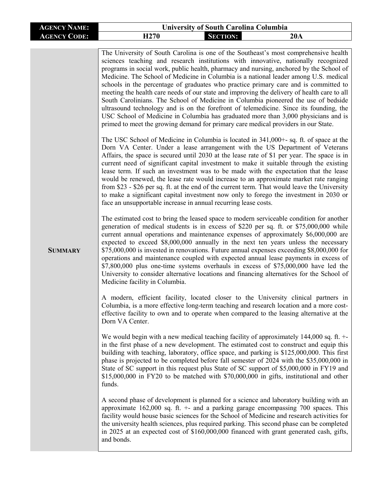| <b>AGENCY NAME:</b> | <b>University of South Carolina Columbia</b>                                                                                                                                                                                                                                                                                                                                                                                                                                                                                                                                                                                                                                                                                                                                                                                                                                                                                                                                                                                                                                                                                                                                                                                                                                                                                                                                                                                                                                                                                                                                                                                                                                                                                                                                                                                                                                                                                                                                                                                                                                                                                                                                                                                                                                                                                                                                                                                                                                                                                                                                                                                                                                                                                                                                                                                                                                                                                                                                                                                                                                                                                                                                                                                                                                                                                                                                                                                                                                                                                                                                                                                                                                                                                                                                                                                                                                                 |  |  |
|---------------------|----------------------------------------------------------------------------------------------------------------------------------------------------------------------------------------------------------------------------------------------------------------------------------------------------------------------------------------------------------------------------------------------------------------------------------------------------------------------------------------------------------------------------------------------------------------------------------------------------------------------------------------------------------------------------------------------------------------------------------------------------------------------------------------------------------------------------------------------------------------------------------------------------------------------------------------------------------------------------------------------------------------------------------------------------------------------------------------------------------------------------------------------------------------------------------------------------------------------------------------------------------------------------------------------------------------------------------------------------------------------------------------------------------------------------------------------------------------------------------------------------------------------------------------------------------------------------------------------------------------------------------------------------------------------------------------------------------------------------------------------------------------------------------------------------------------------------------------------------------------------------------------------------------------------------------------------------------------------------------------------------------------------------------------------------------------------------------------------------------------------------------------------------------------------------------------------------------------------------------------------------------------------------------------------------------------------------------------------------------------------------------------------------------------------------------------------------------------------------------------------------------------------------------------------------------------------------------------------------------------------------------------------------------------------------------------------------------------------------------------------------------------------------------------------------------------------------------------------------------------------------------------------------------------------------------------------------------------------------------------------------------------------------------------------------------------------------------------------------------------------------------------------------------------------------------------------------------------------------------------------------------------------------------------------------------------------------------------------------------------------------------------------------------------------------------------------------------------------------------------------------------------------------------------------------------------------------------------------------------------------------------------------------------------------------------------------------------------------------------------------------------------------------------------------------------------------------------------------------------------------------------------------|--|--|
| <b>AGENCY CODE:</b> | H <sub>270</sub><br><b>SECTION:</b><br>20A                                                                                                                                                                                                                                                                                                                                                                                                                                                                                                                                                                                                                                                                                                                                                                                                                                                                                                                                                                                                                                                                                                                                                                                                                                                                                                                                                                                                                                                                                                                                                                                                                                                                                                                                                                                                                                                                                                                                                                                                                                                                                                                                                                                                                                                                                                                                                                                                                                                                                                                                                                                                                                                                                                                                                                                                                                                                                                                                                                                                                                                                                                                                                                                                                                                                                                                                                                                                                                                                                                                                                                                                                                                                                                                                                                                                                                                   |  |  |
| <b>SUMMARY</b>      | The University of South Carolina is one of the Southeast's most comprehensive health<br>sciences teaching and research institutions with innovative, nationally recognized<br>programs in social work, public health, pharmacy and nursing, anchored by the School of<br>Medicine. The School of Medicine in Columbia is a national leader among U.S. medical<br>schools in the percentage of graduates who practice primary care and is committed to<br>meeting the health care needs of our state and improving the delivery of health care to all<br>South Carolinians. The School of Medicine in Columbia pioneered the use of bedside<br>ultrasound technology and is on the forefront of telemedicine. Since its founding, the<br>USC School of Medicine in Columbia has graduated more than 3,000 physicians and is<br>primed to meet the growing demand for primary care medical providers in our State.<br>The USC School of Medicine in Columbia is located in 341,000+- sq. ft. of space at the<br>Dorn VA Center. Under a lease arrangement with the US Department of Veterans<br>Affairs, the space is secured until 2030 at the lease rate of \$1 per year. The space is in<br>current need of significant capital investment to make it suitable through the existing<br>lease term. If such an investment was to be made with the expectation that the lease<br>would be renewed, the lease rate would increase to an approximate market rate ranging<br>from \$23 - \$26 per sq. ft. at the end of the current term. That would leave the University<br>to make a significant capital investment now only to forego the investment in 2030 or<br>face an unsupportable increase in annual recurring lease costs.<br>The estimated cost to bring the leased space to modern serviceable condition for another<br>generation of medical students is in excess of \$220 per sq. ft. or \$75,000,000 while<br>current annual operations and maintenance expenses of approximately \$6,000,000 are<br>expected to exceed \$8,000,000 annually in the next ten years unless the necessary<br>\$75,000,000 is invested in renovations. Future annual expenses exceeding \$8,000,000 for<br>operations and maintenance coupled with expected annual lease payments in excess of<br>\$7,800,000 plus one-time systems overhauls in excess of \$75,000,000 have led the<br>University to consider alternative locations and financing alternatives for the School of<br>Medicine facility in Columbia.<br>A modern, efficient facility, located closer to the University clinical partners in<br>Columbia, is a more effective long-term teaching and research location and a more cost-<br>effective facility to own and to operate when compared to the leasing alternative at the<br>Dorn VA Center.<br>We would begin with a new medical teaching facility of approximately $144,000$ sq. ft. $+$ -<br>in the first phase of a new development. The estimated cost to construct and equip this<br>building with teaching, laboratory, office space, and parking is \$125,000,000. This first<br>phase is projected to be completed before fall semester of 2024 with the \$35,000,000 in<br>State of SC support in this request plus State of SC support of \$5,000,000 in FY19 and<br>$$15,000,000$ in FY20 to be matched with $$70,000,000$ in gifts, institutional and other<br>funds.<br>A second phase of development is planned for a science and laboratory building with an<br>approximate $162,000$ sq. ft. $+$ - and a parking garage encompassing 700 spaces. This<br>facility would house basic sciences for the School of Medicine and research activities for<br>the university health sciences, plus required parking. This second phase can be completed<br>in 2025 at an expected cost of \$160,000,000 financed with grant generated cash, gifts,<br>and bonds. |  |  |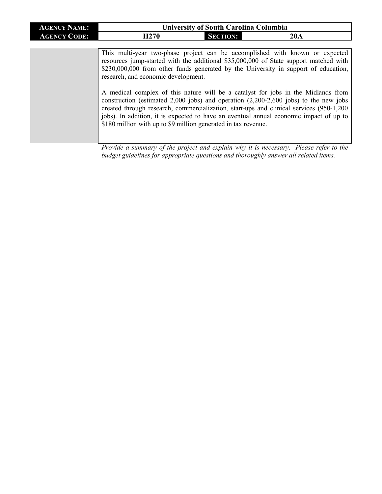| <b>AGENCY NAME:</b> | <b>University of South Carolina Columbia</b>                                                                                                                                                                                                                                                                                                                                                                                                                                        |                 |     |
|---------------------|-------------------------------------------------------------------------------------------------------------------------------------------------------------------------------------------------------------------------------------------------------------------------------------------------------------------------------------------------------------------------------------------------------------------------------------------------------------------------------------|-----------------|-----|
| <b>AGENCY CODE:</b> | H <sub>270</sub>                                                                                                                                                                                                                                                                                                                                                                                                                                                                    | <b>SECTION:</b> | 20A |
|                     |                                                                                                                                                                                                                                                                                                                                                                                                                                                                                     |                 |     |
|                     | This multi-year two-phase project can be accomplished with known or expected<br>resources jump-started with the additional \$35,000,000 of State support matched with<br>\$230,000,000 from other funds generated by the University in support of education,<br>research, and economic development.<br>A medical complex of this nature will be a catalyst for jobs in the Midlands from<br>construction (estimated 2,000 jobs) and operation $(2,200-2,600)$ jobs) to the new jobs |                 |     |
|                     | created through research, commercialization, start-ups and clinical services (950-1,200<br>jobs). In addition, it is expected to have an eventual annual economic impact of up to<br>\$180 million with up to \$9 million generated in tax revenue.                                                                                                                                                                                                                                 |                 |     |

*Provide a summary of the project and explain why it is necessary. Please refer to the budget guidelines for appropriate questions and thoroughly answer all related items.*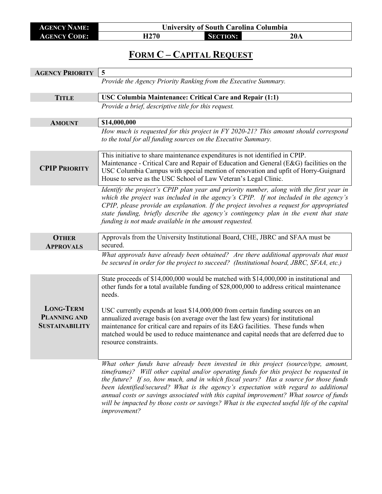**AGENCY NAME: University of South Carolina Columbia AGENCY CODE: H270 SECTION: 20A**

### **FORM C – CAPITAL REQUEST**

| <b>AGENCY PRIORITY</b>                       | 5                                                                                                                                                                                                                                                                                                                                                                                                                                                                                                                                                                   |
|----------------------------------------------|---------------------------------------------------------------------------------------------------------------------------------------------------------------------------------------------------------------------------------------------------------------------------------------------------------------------------------------------------------------------------------------------------------------------------------------------------------------------------------------------------------------------------------------------------------------------|
|                                              | Provide the Agency Priority Ranking from the Executive Summary.                                                                                                                                                                                                                                                                                                                                                                                                                                                                                                     |
| <b>TITLE</b>                                 | USC Columbia Maintenance: Critical Care and Repair (1:1)                                                                                                                                                                                                                                                                                                                                                                                                                                                                                                            |
|                                              | Provide a brief, descriptive title for this request.                                                                                                                                                                                                                                                                                                                                                                                                                                                                                                                |
| <b>AMOUNT</b>                                | \$14,000,000                                                                                                                                                                                                                                                                                                                                                                                                                                                                                                                                                        |
|                                              | How much is requested for this project in FY 2020-21? This amount should correspond<br>to the total for all funding sources on the Executive Summary.                                                                                                                                                                                                                                                                                                                                                                                                               |
| <b>CPIP PRIORITY</b>                         | This initiative to share maintenance expenditures is not identified in CPIP.<br>Maintenance - Critical Care and Repair of Education and General (E&G) facilities on the<br>USC Columbia Campus with special mention of renovation and upfit of Horry-Guignard<br>House to serve as the USC School of Law Veteran's Legal Clinic.                                                                                                                                                                                                                                    |
|                                              | Identify the project's CPIP plan year and priority number, along with the first year in<br>which the project was included in the agency's CPIP. If not included in the agency's<br>CPIP, please provide an explanation. If the project involves a request for appropriated<br>state funding, briefly describe the agency's contingency plan in the event that state<br>funding is not made available in the amount requested.                                                                                                                                       |
| <b>OTHER</b><br><b>APPROVALS</b>             | Approvals from the University Institutional Board, CHE, JBRC and SFAA must be<br>secured.                                                                                                                                                                                                                                                                                                                                                                                                                                                                           |
|                                              | What approvals have already been obtained? Are there additional approvals that must<br>be secured in order for the project to succeed? (Institutional board, JBRC, SFAA, etc.)                                                                                                                                                                                                                                                                                                                                                                                      |
| <b>LONG-TERM</b>                             | State proceeds of \$14,000,000 would be matched with \$14,000,000 in institutional and<br>other funds for a total available funding of \$28,000,000 to address critical maintenance<br>needs.<br>USC currently expends at least \$14,000,000 from certain funding sources on an                                                                                                                                                                                                                                                                                     |
| <b>PLANNING AND</b><br><b>SUSTAINABILITY</b> | annualized average basis (on average over the last few years) for institutional<br>maintenance for critical care and repairs of its E&G facilities. These funds when<br>matched would be used to reduce maintenance and capital needs that are deferred due to<br>resource constraints.                                                                                                                                                                                                                                                                             |
|                                              | What other funds have already been invested in this project (source/type, amount,<br>timeframe)? Will other capital and/or operating funds for this project be requested in<br>the future? If so, how much, and in which fiscal years? Has a source for those funds<br>been identified/secured? What is the agency's expectation with regard to additional<br>annual costs or savings associated with this capital improvement? What source of funds<br>will be impacted by those costs or savings? What is the expected useful life of the capital<br>improvement? |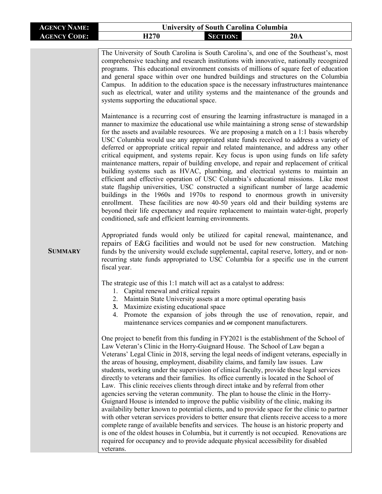| <b>AGENCY NAME:</b><br><b>University of South Carolina Columbia</b>                                                                                                                                                                                                                                                                                                                                                                                                                                                                                                                                                                                                                                                                                                                                                                                                                                                                                                                                                                                                                                                                                                                                                                                                                                                                                                                                                                                                                                                                                                                                                                                                                                                                                                                                                                                                                                                                                                                                                                                                                                                                                                                                                                                                                                                                                                                                                                                                                                                                                                                                                                                                                                                                                                                                                                                                                                                                                                                                                                                                                                                                                                                                |
|----------------------------------------------------------------------------------------------------------------------------------------------------------------------------------------------------------------------------------------------------------------------------------------------------------------------------------------------------------------------------------------------------------------------------------------------------------------------------------------------------------------------------------------------------------------------------------------------------------------------------------------------------------------------------------------------------------------------------------------------------------------------------------------------------------------------------------------------------------------------------------------------------------------------------------------------------------------------------------------------------------------------------------------------------------------------------------------------------------------------------------------------------------------------------------------------------------------------------------------------------------------------------------------------------------------------------------------------------------------------------------------------------------------------------------------------------------------------------------------------------------------------------------------------------------------------------------------------------------------------------------------------------------------------------------------------------------------------------------------------------------------------------------------------------------------------------------------------------------------------------------------------------------------------------------------------------------------------------------------------------------------------------------------------------------------------------------------------------------------------------------------------------------------------------------------------------------------------------------------------------------------------------------------------------------------------------------------------------------------------------------------------------------------------------------------------------------------------------------------------------------------------------------------------------------------------------------------------------------------------------------------------------------------------------------------------------------------------------------------------------------------------------------------------------------------------------------------------------------------------------------------------------------------------------------------------------------------------------------------------------------------------------------------------------------------------------------------------------------------------------------------------------------------------------------------------------|
| H <sub>270</sub><br><b>SECTION:</b><br>20A<br><b>AGENCY CODE:</b>                                                                                                                                                                                                                                                                                                                                                                                                                                                                                                                                                                                                                                                                                                                                                                                                                                                                                                                                                                                                                                                                                                                                                                                                                                                                                                                                                                                                                                                                                                                                                                                                                                                                                                                                                                                                                                                                                                                                                                                                                                                                                                                                                                                                                                                                                                                                                                                                                                                                                                                                                                                                                                                                                                                                                                                                                                                                                                                                                                                                                                                                                                                                  |
| The University of South Carolina is South Carolina's, and one of the Southeast's, most<br>comprehensive teaching and research institutions with innovative, nationally recognized<br>programs. This educational environment consists of millions of square feet of education<br>and general space within over one hundred buildings and structures on the Columbia<br>Campus. In addition to the education space is the necessary infrastructures maintenance<br>such as electrical, water and utility systems and the maintenance of the grounds and<br>systems supporting the educational space.<br>Maintenance is a recurring cost of ensuring the learning infrastructure is managed in a<br>manner to maximize the educational use while maintaining a strong sense of stewardship<br>for the assets and available resources. We are proposing a match on a 1:1 basis whereby<br>USC Columbia would use any appropriated state funds received to address a variety of<br>deferred or appropriate critical repair and related maintenance, and address any other<br>critical equipment, and systems repair. Key focus is upon using funds on life safety<br>maintenance matters, repair of building envelope, and repair and replacement of critical<br>building systems such as HVAC, plumbing, and electrical systems to maintain an<br>efficient and effective operation of USC Columbia's educational missions. Like most<br>state flagship universities, USC constructed a significant number of large academic<br>buildings in the 1960s and 1970s to respond to enormous growth in university<br>enrollment. These facilities are now 40-50 years old and their building systems are<br>beyond their life expectancy and require replacement to maintain water-tight, properly<br>conditioned, safe and efficient learning environments.<br>Appropriated funds would only be utilized for capital renewal, maintenance, and<br>repairs of E&G facilities and would not be used for new construction. Matching<br><b>SUMMARY</b><br>funds by the university would exclude supplemental, capital reserve, lottery, and or non-<br>recurring state funds appropriated to USC Columbia for a specific use in the current<br>fiscal year.<br>The strategic use of this 1:1 match will act as a catalyst to address:<br>1. Capital renewal and critical repairs<br>2. Maintain State University assets at a more optimal operating basis<br>3. Maximize existing educational space<br>Promote the expansion of jobs through the use of renovation, repair, and<br>4.<br>maintenance services companies and or component manufacturers.<br>One project to benefit from this funding in FY2021 is the establishment of the School of<br>Law Veteran's Clinic in the Horry-Guignard House. The School of Law began a<br>Veterans' Legal Clinic in 2018, serving the legal needs of indigent veterans, especially in<br>the areas of housing, employment, disability claims, and family law issues. Law<br>students, working under the supervision of clinical faculty, provide these legal services<br>directly to veterans and their families. Its office currently is located in the School of |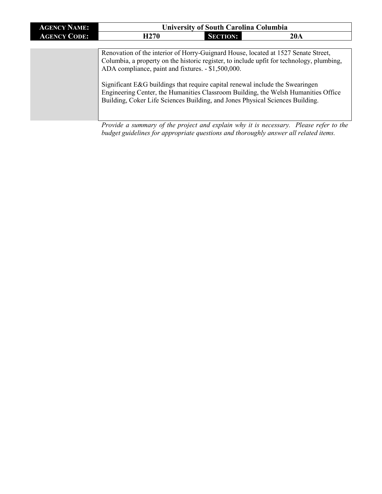| <b>AGENCY NAME:</b> | <b>University of South Carolina Columbia</b> |                 |     |
|---------------------|----------------------------------------------|-----------------|-----|
| <b>AGENCY CODE:</b> | H <sub>270</sub>                             | <b>SECTION:</b> | 20A |

Renovation of the interior of Horry-Guignard House, located at 1527 Senate Street, Columbia, a property on the historic register, to include upfit for technology, plumbing, ADA compliance, paint and fixtures. - \$1,500,000.

Significant E&G buildings that require capital renewal include the Swearingen Engineering Center, the Humanities Classroom Building, the Welsh Humanities Office Building, Coker Life Sciences Building, and Jones Physical Sciences Building.

*Provide a summary of the project and explain why it is necessary. Please refer to the budget guidelines for appropriate questions and thoroughly answer all related items.*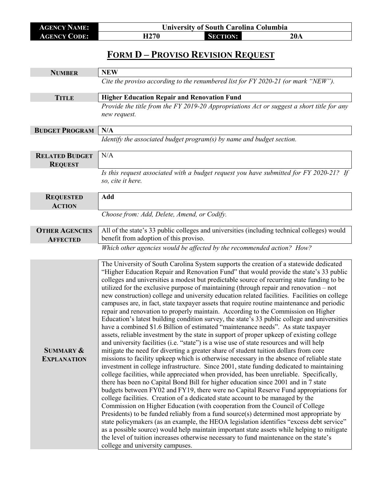| <b>AGENCY NAME:</b> | <b>University of South Carolina Columbia</b> |                 |     |
|---------------------|----------------------------------------------|-----------------|-----|
| <b>AGENCY CODE:</b> | H270                                         | <b>SECTION:</b> | 20A |

I

## **FORM D – PROVISO REVISION REQUEST**

| <b>NUMBER</b>                              | <b>NEW</b>                                                                                                                                                                                                                                                                                                                                                                                                                                                                                                                                                                                                                                                                                                                                                                                                                                                                                                                                                                                                                                                                                                                                                                                                                                                                                                                                                                                                                                                                                                                                                                                                                                                                                                                                                                                                                                                                                                                                                                                                                                                                                                                                                                           |
|--------------------------------------------|--------------------------------------------------------------------------------------------------------------------------------------------------------------------------------------------------------------------------------------------------------------------------------------------------------------------------------------------------------------------------------------------------------------------------------------------------------------------------------------------------------------------------------------------------------------------------------------------------------------------------------------------------------------------------------------------------------------------------------------------------------------------------------------------------------------------------------------------------------------------------------------------------------------------------------------------------------------------------------------------------------------------------------------------------------------------------------------------------------------------------------------------------------------------------------------------------------------------------------------------------------------------------------------------------------------------------------------------------------------------------------------------------------------------------------------------------------------------------------------------------------------------------------------------------------------------------------------------------------------------------------------------------------------------------------------------------------------------------------------------------------------------------------------------------------------------------------------------------------------------------------------------------------------------------------------------------------------------------------------------------------------------------------------------------------------------------------------------------------------------------------------------------------------------------------------|
|                                            | Cite the proviso according to the renumbered list for FY 2020-21 (or mark "NEW").                                                                                                                                                                                                                                                                                                                                                                                                                                                                                                                                                                                                                                                                                                                                                                                                                                                                                                                                                                                                                                                                                                                                                                                                                                                                                                                                                                                                                                                                                                                                                                                                                                                                                                                                                                                                                                                                                                                                                                                                                                                                                                    |
| <b>TITLE</b>                               | <b>Higher Education Repair and Renovation Fund</b>                                                                                                                                                                                                                                                                                                                                                                                                                                                                                                                                                                                                                                                                                                                                                                                                                                                                                                                                                                                                                                                                                                                                                                                                                                                                                                                                                                                                                                                                                                                                                                                                                                                                                                                                                                                                                                                                                                                                                                                                                                                                                                                                   |
|                                            | Provide the title from the FY 2019-20 Appropriations Act or suggest a short title for any<br>new request.                                                                                                                                                                                                                                                                                                                                                                                                                                                                                                                                                                                                                                                                                                                                                                                                                                                                                                                                                                                                                                                                                                                                                                                                                                                                                                                                                                                                                                                                                                                                                                                                                                                                                                                                                                                                                                                                                                                                                                                                                                                                            |
| <b>BUDGET PROGRAM</b>                      | N/A                                                                                                                                                                                                                                                                                                                                                                                                                                                                                                                                                                                                                                                                                                                                                                                                                                                                                                                                                                                                                                                                                                                                                                                                                                                                                                                                                                                                                                                                                                                                                                                                                                                                                                                                                                                                                                                                                                                                                                                                                                                                                                                                                                                  |
|                                            | Identify the associated budget program(s) by name and budget section.                                                                                                                                                                                                                                                                                                                                                                                                                                                                                                                                                                                                                                                                                                                                                                                                                                                                                                                                                                                                                                                                                                                                                                                                                                                                                                                                                                                                                                                                                                                                                                                                                                                                                                                                                                                                                                                                                                                                                                                                                                                                                                                |
| <b>RELATED BUDGET</b><br><b>REQUEST</b>    | N/A                                                                                                                                                                                                                                                                                                                                                                                                                                                                                                                                                                                                                                                                                                                                                                                                                                                                                                                                                                                                                                                                                                                                                                                                                                                                                                                                                                                                                                                                                                                                                                                                                                                                                                                                                                                                                                                                                                                                                                                                                                                                                                                                                                                  |
|                                            | Is this request associated with a budget request you have submitted for FY 2020-21? If<br>so, cite it here.                                                                                                                                                                                                                                                                                                                                                                                                                                                                                                                                                                                                                                                                                                                                                                                                                                                                                                                                                                                                                                                                                                                                                                                                                                                                                                                                                                                                                                                                                                                                                                                                                                                                                                                                                                                                                                                                                                                                                                                                                                                                          |
| <b>REQUESTED</b><br><b>ACTION</b>          | Add                                                                                                                                                                                                                                                                                                                                                                                                                                                                                                                                                                                                                                                                                                                                                                                                                                                                                                                                                                                                                                                                                                                                                                                                                                                                                                                                                                                                                                                                                                                                                                                                                                                                                                                                                                                                                                                                                                                                                                                                                                                                                                                                                                                  |
|                                            | Choose from: Add, Delete, Amend, or Codify.                                                                                                                                                                                                                                                                                                                                                                                                                                                                                                                                                                                                                                                                                                                                                                                                                                                                                                                                                                                                                                                                                                                                                                                                                                                                                                                                                                                                                                                                                                                                                                                                                                                                                                                                                                                                                                                                                                                                                                                                                                                                                                                                          |
| <b>OTHER AGENCIES</b><br><b>AFFECTED</b>   | All of the state's 33 public colleges and universities (including technical colleges) would<br>benefit from adoption of this proviso.                                                                                                                                                                                                                                                                                                                                                                                                                                                                                                                                                                                                                                                                                                                                                                                                                                                                                                                                                                                                                                                                                                                                                                                                                                                                                                                                                                                                                                                                                                                                                                                                                                                                                                                                                                                                                                                                                                                                                                                                                                                |
|                                            | Which other agencies would be affected by the recommended action? How?                                                                                                                                                                                                                                                                                                                                                                                                                                                                                                                                                                                                                                                                                                                                                                                                                                                                                                                                                                                                                                                                                                                                                                                                                                                                                                                                                                                                                                                                                                                                                                                                                                                                                                                                                                                                                                                                                                                                                                                                                                                                                                               |
|                                            |                                                                                                                                                                                                                                                                                                                                                                                                                                                                                                                                                                                                                                                                                                                                                                                                                                                                                                                                                                                                                                                                                                                                                                                                                                                                                                                                                                                                                                                                                                                                                                                                                                                                                                                                                                                                                                                                                                                                                                                                                                                                                                                                                                                      |
| <b>SUMMARY &amp;</b><br><b>EXPLANATION</b> | The University of South Carolina System supports the creation of a statewide dedicated<br>"Higher Education Repair and Renovation Fund" that would provide the state's 33 public<br>colleges and universities a modest but predictable source of recurring state funding to be<br>utilized for the exclusive purpose of maintaining (through repair and renovation – not<br>new construction) college and university education related facilities. Facilities on college<br>campuses are, in fact, state taxpayer assets that require routine maintenance and periodic<br>repair and renovation to properly maintain. According to the Commission on Higher<br>Education's latest building condition survey, the state's 33 public college and universities<br>have a combined \$1.6 Billion of estimated "maintenance needs". As state taxpayer<br>assets, reliable investment by the state in support of proper upkeep of existing college<br>and university facilities (i.e. "state") is a wise use of state resources and will help<br>mitigate the need for diverting a greater share of student tuition dollars from core<br>missions to facility upkeep which is otherwise necessary in the absence of reliable state<br>investment in college infrastructure. Since 2001, state funding dedicated to maintaining<br>college facilities, while appreciated when provided, has been unreliable. Specifically,<br>there has been no Capital Bond Bill for higher education since 2001 and in 7 state<br>budgets between FY02 and FY19, there were no Capital Reserve Fund appropriations for<br>college facilities. Creation of a dedicated state account to be managed by the<br>Commission on Higher Education (with cooperation from the Council of College<br>Presidents) to be funded reliably from a fund source(s) determined most appropriate by<br>state policymakers (as an example, the HEOA legislation identifies "excess debt service"<br>as a possible source) would help maintain important state assets while helping to mitigate<br>the level of tuition increases otherwise necessary to fund maintenance on the state's<br>college and university campuses. |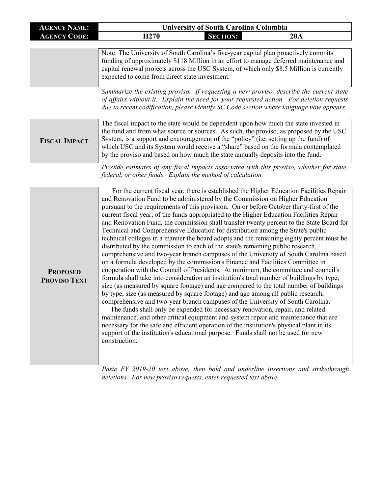| <b>AGENCY NAME:</b>             | <b>University of South Carolina Columbia</b>                |                                                                                                                                                                                                                                                                                                                                                                                                                                                                                                                                                                                                                                                                                                                                                                                                                                                                                                                                                                                                                                                                                                                                                                                                                                                                                                                                                                                                                                                                                                                                                                                                                                                                                                                                                                                               |  |
|---------------------------------|-------------------------------------------------------------|-----------------------------------------------------------------------------------------------------------------------------------------------------------------------------------------------------------------------------------------------------------------------------------------------------------------------------------------------------------------------------------------------------------------------------------------------------------------------------------------------------------------------------------------------------------------------------------------------------------------------------------------------------------------------------------------------------------------------------------------------------------------------------------------------------------------------------------------------------------------------------------------------------------------------------------------------------------------------------------------------------------------------------------------------------------------------------------------------------------------------------------------------------------------------------------------------------------------------------------------------------------------------------------------------------------------------------------------------------------------------------------------------------------------------------------------------------------------------------------------------------------------------------------------------------------------------------------------------------------------------------------------------------------------------------------------------------------------------------------------------------------------------------------------------|--|
| <b>AGENCY CODE:</b>             | H <sub>270</sub>                                            | <b>SECTION:</b><br>20A                                                                                                                                                                                                                                                                                                                                                                                                                                                                                                                                                                                                                                                                                                                                                                                                                                                                                                                                                                                                                                                                                                                                                                                                                                                                                                                                                                                                                                                                                                                                                                                                                                                                                                                                                                        |  |
|                                 |                                                             |                                                                                                                                                                                                                                                                                                                                                                                                                                                                                                                                                                                                                                                                                                                                                                                                                                                                                                                                                                                                                                                                                                                                                                                                                                                                                                                                                                                                                                                                                                                                                                                                                                                                                                                                                                                               |  |
|                                 | expected to come from direct state investment.              | Note: The University of South Carolina's five-year capital plan proactively commits<br>funding of approximately \$118 Million in an effort to manage deferred maintenance and<br>capital renewal projects across the USC System, of which only \$8.5 Million is currently                                                                                                                                                                                                                                                                                                                                                                                                                                                                                                                                                                                                                                                                                                                                                                                                                                                                                                                                                                                                                                                                                                                                                                                                                                                                                                                                                                                                                                                                                                                     |  |
|                                 |                                                             | Summarize the existing proviso. If requesting a new proviso, describe the current state<br>of affairs without it. Explain the need for your requested action. For deletion requests<br>due to recent codification, please identify SC Code section where language now appears.                                                                                                                                                                                                                                                                                                                                                                                                                                                                                                                                                                                                                                                                                                                                                                                                                                                                                                                                                                                                                                                                                                                                                                                                                                                                                                                                                                                                                                                                                                                |  |
| <b>FISCAL IMPACT</b>            |                                                             | The fiscal impact to the state would be dependent upon how much the state invested in<br>the fund and from what source or sources. As such, the proviso, as proposed by the USC<br>System, is a support and encouragement of the "policy" (i.e. setting up the fund) of<br>which USC and its System would receive a "share" based on the formula contemplated<br>by the proviso and based on how much the state annually deposits into the fund.                                                                                                                                                                                                                                                                                                                                                                                                                                                                                                                                                                                                                                                                                                                                                                                                                                                                                                                                                                                                                                                                                                                                                                                                                                                                                                                                              |  |
|                                 | federal, or other funds. Explain the method of calculation. | Provide estimates of any fiscal impacts associated with this proviso, whether for state,                                                                                                                                                                                                                                                                                                                                                                                                                                                                                                                                                                                                                                                                                                                                                                                                                                                                                                                                                                                                                                                                                                                                                                                                                                                                                                                                                                                                                                                                                                                                                                                                                                                                                                      |  |
| <b>PROPOSED</b><br>PROVISO TEXT | construction.                                               | For the current fiscal year, there is established the Higher Education Facilities Repair<br>and Renovation Fund to be administered by the Commission on Higher Education<br>pursuant to the requirements of this provision. On or before October thirty-first of the<br>current fiscal year, of the funds appropriated to the Higher Education Facilities Repair<br>and Renovation Fund, the commission shall transfer twenty percent to the State Board for<br>Technical and Comprehensive Education for distribution among the State's public<br>technical colleges in a manner the board adopts and the remaining eighty percent must be<br>distributed by the commission to each of the state's remaining public research,<br>comprehensive and two-year branch campuses of the University of South Carolina based<br>on a formula developed by the commission's Finance and Facilities Committee in<br>cooperation with the Council of Presidents. At minimum, the committee and council's<br>formula shall take into consideration an institution's total number of buildings by type,<br>size (as measured by square footage) and age compared to the total number of buildings<br>by type, size (as measured by square footage) and age among all public research,<br>comprehensive and two-year branch campuses of the University of South Carolina.<br>The funds shall only be expended for necessary renovation, repair, and related<br>maintenance, and other critical equipment and system repair and maintenance that are<br>necessary for the safe and efficient operation of the institution's physical plant in its<br>support of the institution's educational purpose. Funds shall not be used for new<br>Dagte EV 2010 20 tout ghough they hold and underline incentional |  |

*Paste FY 2019-20 text above, then bold and underline insertions and strikethrough deletions. For new proviso requests, enter requested text above.*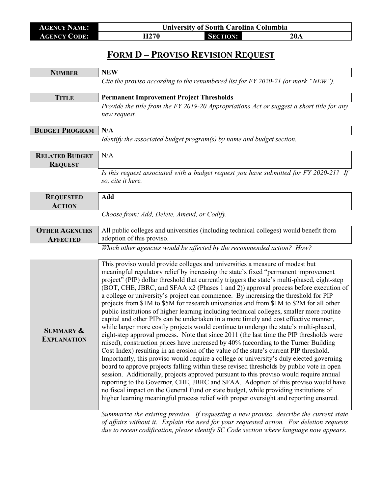| <b>AGENCY NAME:</b> | <b>University of South Carolina Columbia</b> |                 |     |
|---------------------|----------------------------------------------|-----------------|-----|
| <b>AGENCY CODE:</b> | H <sub>270</sub>                             | <b>SECTION:</b> | 20A |

## **FORM D – PROVISO REVISION REQUEST**

|                                            | <b>NEW</b>                                                                                                                                                                                                                                                                                                                                                                                                                                                                                                                                                                                                                                                                                                                                                                                                                                                                                                                                                                                                                                                                                                                                                                                                                                                                                                                                                                                                                                                                                                                                                                                                                                                           |
|--------------------------------------------|----------------------------------------------------------------------------------------------------------------------------------------------------------------------------------------------------------------------------------------------------------------------------------------------------------------------------------------------------------------------------------------------------------------------------------------------------------------------------------------------------------------------------------------------------------------------------------------------------------------------------------------------------------------------------------------------------------------------------------------------------------------------------------------------------------------------------------------------------------------------------------------------------------------------------------------------------------------------------------------------------------------------------------------------------------------------------------------------------------------------------------------------------------------------------------------------------------------------------------------------------------------------------------------------------------------------------------------------------------------------------------------------------------------------------------------------------------------------------------------------------------------------------------------------------------------------------------------------------------------------------------------------------------------------|
| <b>NUMBER</b>                              |                                                                                                                                                                                                                                                                                                                                                                                                                                                                                                                                                                                                                                                                                                                                                                                                                                                                                                                                                                                                                                                                                                                                                                                                                                                                                                                                                                                                                                                                                                                                                                                                                                                                      |
|                                            | Cite the proviso according to the renumbered list for FY 2020-21 (or mark "NEW").                                                                                                                                                                                                                                                                                                                                                                                                                                                                                                                                                                                                                                                                                                                                                                                                                                                                                                                                                                                                                                                                                                                                                                                                                                                                                                                                                                                                                                                                                                                                                                                    |
| <b>TITLE</b>                               | <b>Permanent Improvement Project Thresholds</b>                                                                                                                                                                                                                                                                                                                                                                                                                                                                                                                                                                                                                                                                                                                                                                                                                                                                                                                                                                                                                                                                                                                                                                                                                                                                                                                                                                                                                                                                                                                                                                                                                      |
|                                            | Provide the title from the FY 2019-20 Appropriations Act or suggest a short title for any                                                                                                                                                                                                                                                                                                                                                                                                                                                                                                                                                                                                                                                                                                                                                                                                                                                                                                                                                                                                                                                                                                                                                                                                                                                                                                                                                                                                                                                                                                                                                                            |
|                                            | new request.                                                                                                                                                                                                                                                                                                                                                                                                                                                                                                                                                                                                                                                                                                                                                                                                                                                                                                                                                                                                                                                                                                                                                                                                                                                                                                                                                                                                                                                                                                                                                                                                                                                         |
|                                            |                                                                                                                                                                                                                                                                                                                                                                                                                                                                                                                                                                                                                                                                                                                                                                                                                                                                                                                                                                                                                                                                                                                                                                                                                                                                                                                                                                                                                                                                                                                                                                                                                                                                      |
| <b>BUDGET PROGRAM</b>                      | N/A                                                                                                                                                                                                                                                                                                                                                                                                                                                                                                                                                                                                                                                                                                                                                                                                                                                                                                                                                                                                                                                                                                                                                                                                                                                                                                                                                                                                                                                                                                                                                                                                                                                                  |
|                                            | Identify the associated budget program(s) by name and budget section.                                                                                                                                                                                                                                                                                                                                                                                                                                                                                                                                                                                                                                                                                                                                                                                                                                                                                                                                                                                                                                                                                                                                                                                                                                                                                                                                                                                                                                                                                                                                                                                                |
| <b>RELATED BUDGET</b>                      | N/A                                                                                                                                                                                                                                                                                                                                                                                                                                                                                                                                                                                                                                                                                                                                                                                                                                                                                                                                                                                                                                                                                                                                                                                                                                                                                                                                                                                                                                                                                                                                                                                                                                                                  |
| <b>REQUEST</b>                             |                                                                                                                                                                                                                                                                                                                                                                                                                                                                                                                                                                                                                                                                                                                                                                                                                                                                                                                                                                                                                                                                                                                                                                                                                                                                                                                                                                                                                                                                                                                                                                                                                                                                      |
|                                            | Is this request associated with a budget request you have submitted for FY 2020-21? If<br>so, cite it here.                                                                                                                                                                                                                                                                                                                                                                                                                                                                                                                                                                                                                                                                                                                                                                                                                                                                                                                                                                                                                                                                                                                                                                                                                                                                                                                                                                                                                                                                                                                                                          |
| <b>REQUESTED</b>                           | Add                                                                                                                                                                                                                                                                                                                                                                                                                                                                                                                                                                                                                                                                                                                                                                                                                                                                                                                                                                                                                                                                                                                                                                                                                                                                                                                                                                                                                                                                                                                                                                                                                                                                  |
| <b>ACTION</b>                              |                                                                                                                                                                                                                                                                                                                                                                                                                                                                                                                                                                                                                                                                                                                                                                                                                                                                                                                                                                                                                                                                                                                                                                                                                                                                                                                                                                                                                                                                                                                                                                                                                                                                      |
|                                            | Choose from: Add, Delete, Amend, or Codify.                                                                                                                                                                                                                                                                                                                                                                                                                                                                                                                                                                                                                                                                                                                                                                                                                                                                                                                                                                                                                                                                                                                                                                                                                                                                                                                                                                                                                                                                                                                                                                                                                          |
| <b>OTHER AGENCIES</b>                      | All public colleges and universities (including technical colleges) would benefit from                                                                                                                                                                                                                                                                                                                                                                                                                                                                                                                                                                                                                                                                                                                                                                                                                                                                                                                                                                                                                                                                                                                                                                                                                                                                                                                                                                                                                                                                                                                                                                               |
| <b>AFFECTED</b>                            | adoption of this proviso.                                                                                                                                                                                                                                                                                                                                                                                                                                                                                                                                                                                                                                                                                                                                                                                                                                                                                                                                                                                                                                                                                                                                                                                                                                                                                                                                                                                                                                                                                                                                                                                                                                            |
|                                            | Which other agencies would be affected by the recommended action? How?                                                                                                                                                                                                                                                                                                                                                                                                                                                                                                                                                                                                                                                                                                                                                                                                                                                                                                                                                                                                                                                                                                                                                                                                                                                                                                                                                                                                                                                                                                                                                                                               |
|                                            |                                                                                                                                                                                                                                                                                                                                                                                                                                                                                                                                                                                                                                                                                                                                                                                                                                                                                                                                                                                                                                                                                                                                                                                                                                                                                                                                                                                                                                                                                                                                                                                                                                                                      |
| <b>SUMMARY &amp;</b><br><b>EXPLANATION</b> | This proviso would provide colleges and universities a measure of modest but<br>meaningful regulatory relief by increasing the state's fixed "permanent improvement<br>project" (PIP) dollar threshold that currently triggers the state's multi-phased, eight-step<br>(BOT, CHE, JBRC, and SFAA x2 (Phases 1 and 2)) approval process before execution of<br>a college or university's project can commence. By increasing the threshold for PIP<br>projects from \$1M to \$5M for research universities and from \$1M to \$2M for all other<br>public institutions of higher learning including technical colleges, smaller more routine<br>capital and other PIPs can be undertaken in a more timely and cost effective manner,<br>while larger more costly projects would continue to undergo the state's multi-phased,<br>eight-step approval process. Note that since 2011 (the last time the PIP thresholds were<br>raised), construction prices have increased by 40% (according to the Turner Building<br>Cost Index) resulting in an erosion of the value of the state's current PIP threshold.<br>Importantly, this proviso would require a college or university's duly elected governing<br>board to approve projects falling within these revised thresholds by public vote in open<br>session. Additionally, projects approved pursuant to this proviso would require annual<br>reporting to the Governor, CHE, JBRC and SFAA. Adoption of this proviso would have<br>no fiscal impact on the General Fund or state budget, while providing institutions of<br>higher learning meaningful process relief with proper oversight and reporting ensured. |
|                                            | Summarize the existing proviso. If requesting a new proviso, describe the current state<br>of affairs without it. Explain the need for your requested action. For deletion requests<br>due to recent codification, please identify SC Code section where language now appears.                                                                                                                                                                                                                                                                                                                                                                                                                                                                                                                                                                                                                                                                                                                                                                                                                                                                                                                                                                                                                                                                                                                                                                                                                                                                                                                                                                                       |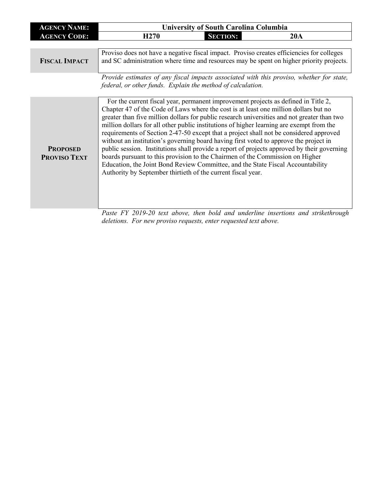| <b>AGENCY NAME:</b>                    | <b>University of South Carolina Columbia</b>                                                                                                                                                                                                                                                                                                                                                                                                                                                                                                                                                                                                                                                                                                                                                                                                                                                |                 |                                                                                          |
|----------------------------------------|---------------------------------------------------------------------------------------------------------------------------------------------------------------------------------------------------------------------------------------------------------------------------------------------------------------------------------------------------------------------------------------------------------------------------------------------------------------------------------------------------------------------------------------------------------------------------------------------------------------------------------------------------------------------------------------------------------------------------------------------------------------------------------------------------------------------------------------------------------------------------------------------|-----------------|------------------------------------------------------------------------------------------|
| <b>AGENCY CODE:</b>                    | H <sub>270</sub>                                                                                                                                                                                                                                                                                                                                                                                                                                                                                                                                                                                                                                                                                                                                                                                                                                                                            | <b>SECTION:</b> | 20A                                                                                      |
|                                        |                                                                                                                                                                                                                                                                                                                                                                                                                                                                                                                                                                                                                                                                                                                                                                                                                                                                                             |                 |                                                                                          |
| <b>FISCAL IMPACT</b>                   | Proviso does not have a negative fiscal impact. Proviso creates efficiencies for colleges<br>and SC administration where time and resources may be spent on higher priority projects.                                                                                                                                                                                                                                                                                                                                                                                                                                                                                                                                                                                                                                                                                                       |                 |                                                                                          |
|                                        | federal, or other funds. Explain the method of calculation.                                                                                                                                                                                                                                                                                                                                                                                                                                                                                                                                                                                                                                                                                                                                                                                                                                 |                 | Provide estimates of any fiscal impacts associated with this proviso, whether for state, |
| <b>PROPOSED</b><br><b>PROVISO TEXT</b> | For the current fiscal year, permanent improvement projects as defined in Title 2,<br>Chapter 47 of the Code of Laws where the cost is at least one million dollars but no<br>greater than five million dollars for public research universities and not greater than two<br>million dollars for all other public institutions of higher learning are exempt from the<br>requirements of Section 2-47-50 except that a project shall not be considered approved<br>without an institution's governing board having first voted to approve the project in<br>public session. Institutions shall provide a report of projects approved by their governing<br>boards pursuant to this provision to the Chairmen of the Commission on Higher<br>Education, the Joint Bond Review Committee, and the State Fiscal Accountability<br>Authority by September thirtieth of the current fiscal year. |                 | Paste FY 2019-20 text above, then bold and underline insertions and strikethrough        |
|                                        | deletions. For new proviso requests, enter requested text above.                                                                                                                                                                                                                                                                                                                                                                                                                                                                                                                                                                                                                                                                                                                                                                                                                            |                 |                                                                                          |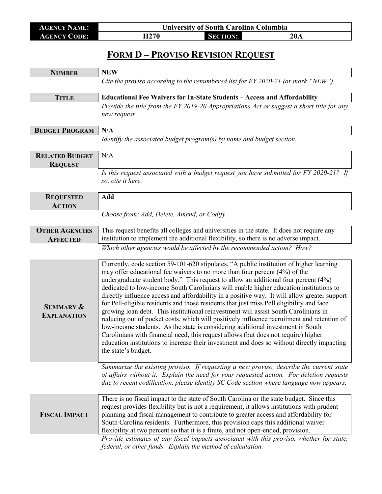| <b>AGENCY NAME:</b> | <b>University of South Carolina Columbia</b> |                 |     |
|---------------------|----------------------------------------------|-----------------|-----|
| <b>AGENCY CODE:</b> | H270                                         | <b>SECTION:</b> | 20A |

## **FORM D – PROVISO REVISION REQUEST**

| <b>NUMBER</b>                              | <b>NEW</b>                                                                                                                                                                                                                                                                                                                                                                                                                                                                                                                                                                                                                                                                                                                                                                                                                                                                                                                                                                                                                           |
|--------------------------------------------|--------------------------------------------------------------------------------------------------------------------------------------------------------------------------------------------------------------------------------------------------------------------------------------------------------------------------------------------------------------------------------------------------------------------------------------------------------------------------------------------------------------------------------------------------------------------------------------------------------------------------------------------------------------------------------------------------------------------------------------------------------------------------------------------------------------------------------------------------------------------------------------------------------------------------------------------------------------------------------------------------------------------------------------|
|                                            | Cite the proviso according to the renumbered list for FY 2020-21 (or mark "NEW").                                                                                                                                                                                                                                                                                                                                                                                                                                                                                                                                                                                                                                                                                                                                                                                                                                                                                                                                                    |
| <b>TITLE</b>                               | Educational Fee Waivers for In-State Students - Access and Affordability                                                                                                                                                                                                                                                                                                                                                                                                                                                                                                                                                                                                                                                                                                                                                                                                                                                                                                                                                             |
|                                            | Provide the title from the FY 2019-20 Appropriations Act or suggest a short title for any<br>new request.                                                                                                                                                                                                                                                                                                                                                                                                                                                                                                                                                                                                                                                                                                                                                                                                                                                                                                                            |
| <b>BUDGET PROGRAM</b>                      | N/A                                                                                                                                                                                                                                                                                                                                                                                                                                                                                                                                                                                                                                                                                                                                                                                                                                                                                                                                                                                                                                  |
|                                            | Identify the associated budget program(s) by name and budget section.                                                                                                                                                                                                                                                                                                                                                                                                                                                                                                                                                                                                                                                                                                                                                                                                                                                                                                                                                                |
| <b>RELATED BUDGET</b><br><b>REQUEST</b>    | N/A                                                                                                                                                                                                                                                                                                                                                                                                                                                                                                                                                                                                                                                                                                                                                                                                                                                                                                                                                                                                                                  |
|                                            | Is this request associated with a budget request you have submitted for FY 2020-21? If<br>so, cite it here.                                                                                                                                                                                                                                                                                                                                                                                                                                                                                                                                                                                                                                                                                                                                                                                                                                                                                                                          |
| <b>REQUESTED</b><br><b>ACTION</b>          | Add                                                                                                                                                                                                                                                                                                                                                                                                                                                                                                                                                                                                                                                                                                                                                                                                                                                                                                                                                                                                                                  |
|                                            | Choose from: Add, Delete, Amend, or Codify.                                                                                                                                                                                                                                                                                                                                                                                                                                                                                                                                                                                                                                                                                                                                                                                                                                                                                                                                                                                          |
| <b>OTHER AGENCIES</b><br><b>AFFECTED</b>   | This request benefits all colleges and universities in the state. It does not require any<br>institution to implement the additional flexibility, so there is no adverse impact.                                                                                                                                                                                                                                                                                                                                                                                                                                                                                                                                                                                                                                                                                                                                                                                                                                                     |
|                                            | Which other agencies would be affected by the recommended action? How?                                                                                                                                                                                                                                                                                                                                                                                                                                                                                                                                                                                                                                                                                                                                                                                                                                                                                                                                                               |
|                                            |                                                                                                                                                                                                                                                                                                                                                                                                                                                                                                                                                                                                                                                                                                                                                                                                                                                                                                                                                                                                                                      |
| <b>SUMMARY &amp;</b><br><b>EXPLANATION</b> | Currently, code section 59-101-620 stipulates, "A public institution of higher learning<br>may offer educational fee waivers to no more than four percent (4%) of the<br>undergraduate student body." This request to allow an additional four percent (4%)<br>dedicated to low-income South Carolinians will enable higher education institutions to<br>directly influence access and affordability in a positive way. It will allow greater support<br>for Pell-eligible residents and those residents that just miss Pell eligibility and face<br>growing loan debt. This institutional reinvestment will assist South Carolinians in<br>reducing out of pocket costs, which will positively influence recruitment and retention of<br>low-income students. As the state is considering additional investment in South<br>Carolinians with financial need, this request allows (but does not require) higher<br>education institutions to increase their investment and does so without directly impacting<br>the state's budget. |
|                                            | Summarize the existing proviso. If requesting a new proviso, describe the current state<br>of affairs without it. Explain the need for your requested action. For deletion requests<br>due to recent codification, please identify SC Code section where language now appears.                                                                                                                                                                                                                                                                                                                                                                                                                                                                                                                                                                                                                                                                                                                                                       |
| <b>FISCAL IMPACT</b>                       | There is no fiscal impact to the state of South Carolina or the state budget. Since this<br>request provides flexibility but is not a requirement, it allows institutions with prudent<br>planning and fiscal management to contribute to greater access and affordability for<br>South Carolina residents. Furthermore, this provision caps this additional waiver<br>flexibility at two percent so that it is a finite, and not open-ended, provision.                                                                                                                                                                                                                                                                                                                                                                                                                                                                                                                                                                             |
|                                            | Provide estimates of any fiscal impacts associated with this proviso, whether for state,<br>federal, or other funds. Explain the method of calculation.                                                                                                                                                                                                                                                                                                                                                                                                                                                                                                                                                                                                                                                                                                                                                                                                                                                                              |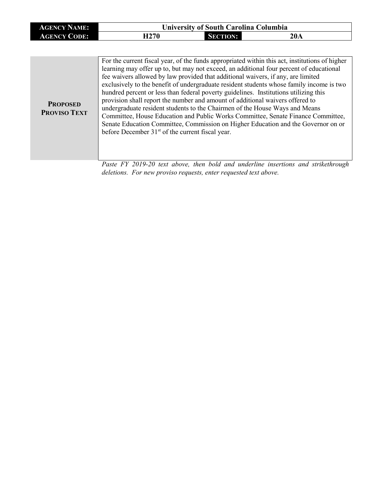| <b>AGENCY NAME:</b>                    | <b>University of South Carolina Columbia</b>                                                                                                                                                                                                                                                                                                                                                                                                                                                                                                                                                                                                                                                                                                                                                                                                                               |                 |     |
|----------------------------------------|----------------------------------------------------------------------------------------------------------------------------------------------------------------------------------------------------------------------------------------------------------------------------------------------------------------------------------------------------------------------------------------------------------------------------------------------------------------------------------------------------------------------------------------------------------------------------------------------------------------------------------------------------------------------------------------------------------------------------------------------------------------------------------------------------------------------------------------------------------------------------|-----------------|-----|
| <b>AGENCY CODE:</b>                    | H <sub>270</sub>                                                                                                                                                                                                                                                                                                                                                                                                                                                                                                                                                                                                                                                                                                                                                                                                                                                           | <b>SECTION:</b> | 20A |
|                                        |                                                                                                                                                                                                                                                                                                                                                                                                                                                                                                                                                                                                                                                                                                                                                                                                                                                                            |                 |     |
| <b>PROPOSED</b><br><b>PROVISO TEXT</b> | For the current fiscal year, of the funds appropriated within this act, institutions of higher<br>learning may offer up to, but may not exceed, an additional four percent of educational<br>fee waivers allowed by law provided that additional waivers, if any, are limited<br>exclusively to the benefit of undergraduate resident students whose family income is two<br>hundred percent or less than federal poverty guidelines. Institutions utilizing this<br>provision shall report the number and amount of additional waivers offered to<br>undergraduate resident students to the Chairmen of the House Ways and Means<br>Committee, House Education and Public Works Committee, Senate Finance Committee,<br>Senate Education Committee, Commission on Higher Education and the Governor on or<br>before December 31 <sup>st</sup> of the current fiscal year. |                 |     |

*Paste FY 2019-20 text above, then bold and underline insertions and strikethrough deletions. For new proviso requests, enter requested text above.*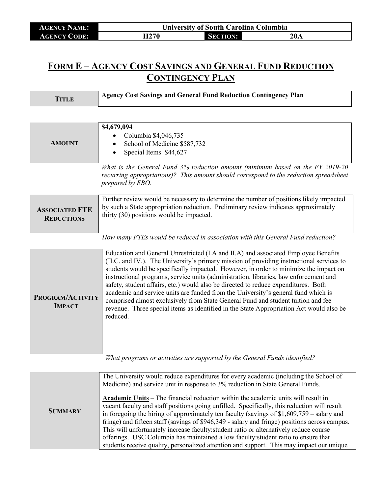| <b>AGENCY NAME:</b> | <b>University of South Carolina Columbia</b> |                 |     |
|---------------------|----------------------------------------------|-----------------|-----|
| <b>AGENCY CODE:</b> | H <sub>270</sub>                             | <b>SECTION:</b> | 20A |

## **FORM E – AGENCY COST SAVINGS AND GENERAL FUND REDUCTION CONTINGENCY PLAN**

| <b>TITLE</b>                               | <b>Agency Cost Savings and General Fund Reduction Contingency Plan</b>                                                                                                                                                                                                                                                                                                                                                                                                                                                                                                                                                                                                                                                                |
|--------------------------------------------|---------------------------------------------------------------------------------------------------------------------------------------------------------------------------------------------------------------------------------------------------------------------------------------------------------------------------------------------------------------------------------------------------------------------------------------------------------------------------------------------------------------------------------------------------------------------------------------------------------------------------------------------------------------------------------------------------------------------------------------|
|                                            |                                                                                                                                                                                                                                                                                                                                                                                                                                                                                                                                                                                                                                                                                                                                       |
| <b>AMOUNT</b>                              | \$4,679,094<br>Columbia \$4,046,735<br>School of Medicine \$587,732<br>Special Items \$44,627                                                                                                                                                                                                                                                                                                                                                                                                                                                                                                                                                                                                                                         |
|                                            | What is the General Fund 3% reduction amount (minimum based on the FY 2019-20<br>recurring appropriations)? This amount should correspond to the reduction spreadsheet<br>prepared by EBO.                                                                                                                                                                                                                                                                                                                                                                                                                                                                                                                                            |
| <b>ASSOCIATED FTE</b><br><b>REDUCTIONS</b> | Further review would be necessary to determine the number of positions likely impacted<br>by such a State appropriation reduction. Preliminary review indicates approximately<br>thirty (30) positions would be impacted.                                                                                                                                                                                                                                                                                                                                                                                                                                                                                                             |
|                                            | How many FTEs would be reduced in association with this General Fund reduction?                                                                                                                                                                                                                                                                                                                                                                                                                                                                                                                                                                                                                                                       |
| PROGRAM/ACTIVITY<br><b>IMPACT</b>          | Education and General Unrestricted (I.A and II.A) and associated Employee Benefits<br>(II.C. and IV.). The University's primary mission of providing instructional services to<br>students would be specifically impacted. However, in order to minimize the impact on<br>instructional programs, service units (administration, libraries, law enforcement and<br>safety, student affairs, etc.) would also be directed to reduce expenditures. Both<br>academic and service units are funded from the University's general fund which is<br>comprised almost exclusively from State General Fund and student tuition and fee<br>revenue. Three special items as identified in the State Appropriation Act would also be<br>reduced. |
|                                            | What programs or activities are supported by the General Funds identified?                                                                                                                                                                                                                                                                                                                                                                                                                                                                                                                                                                                                                                                            |

|                | The University would reduce expenditures for every academic (including the School of<br>Medicine) and service unit in response to 3% reduction in State General Funds.<br><b>Academic Units</b> – The financial reduction within the academic units will result in                                                                                                                                                                                                                                                                                                     |  |  |
|----------------|------------------------------------------------------------------------------------------------------------------------------------------------------------------------------------------------------------------------------------------------------------------------------------------------------------------------------------------------------------------------------------------------------------------------------------------------------------------------------------------------------------------------------------------------------------------------|--|--|
| <b>SUMMARY</b> | vacant faculty and staff positions going unfilled. Specifically, this reduction will result<br>in foregoing the hiring of approximately ten faculty (savings of $$1,609,759$ – salary and<br>fringe) and fifteen staff (savings of \$946,349 - salary and fringe) positions across campus.<br>This will unfortunately increase faculty: student ratio or alternatively reduce course<br>offerings. USC Columbia has maintained a low faculty: student ratio to ensure that<br>students receive quality, personalized attention and support. This may impact our unique |  |  |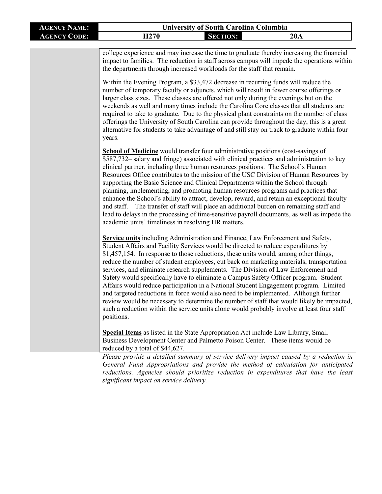| <b>AGENCY NAME:</b> | <b>University of South Carolina Columbia</b>                                                                                                                                                                                                                                                                                                                                                                                                                                                                                                                                                                                                                                                                                                                                                                                                                                                                                                  |                 |                                                                                                                                                                                                                                                                                                                                                                                                                                                                                                                                                                                                                                                 |
|---------------------|-----------------------------------------------------------------------------------------------------------------------------------------------------------------------------------------------------------------------------------------------------------------------------------------------------------------------------------------------------------------------------------------------------------------------------------------------------------------------------------------------------------------------------------------------------------------------------------------------------------------------------------------------------------------------------------------------------------------------------------------------------------------------------------------------------------------------------------------------------------------------------------------------------------------------------------------------|-----------------|-------------------------------------------------------------------------------------------------------------------------------------------------------------------------------------------------------------------------------------------------------------------------------------------------------------------------------------------------------------------------------------------------------------------------------------------------------------------------------------------------------------------------------------------------------------------------------------------------------------------------------------------------|
| <b>AGENCY CODE:</b> | H <sub>270</sub>                                                                                                                                                                                                                                                                                                                                                                                                                                                                                                                                                                                                                                                                                                                                                                                                                                                                                                                              | <b>SECTION:</b> | 20A                                                                                                                                                                                                                                                                                                                                                                                                                                                                                                                                                                                                                                             |
|                     | college experience and may increase the time to graduate thereby increasing the financial<br>impact to families. The reduction in staff across campus will impede the operations within<br>the departments through increased workloads for the staff that remain.<br>Within the Evening Program, a \$33,472 decrease in recurring funds will reduce the<br>number of temporary faculty or adjuncts, which will result in fewer course offerings or<br>larger class sizes. These classes are offered not only during the evenings but on the<br>weekends as well and many times include the Carolina Core classes that all students are<br>required to take to graduate. Due to the physical plant constraints on the number of class<br>offerings the University of South Carolina can provide throughout the day, this is a great<br>alternative for students to take advantage of and still stay on track to graduate within four<br>years. |                 |                                                                                                                                                                                                                                                                                                                                                                                                                                                                                                                                                                                                                                                 |
|                     | <b>School of Medicine</b> would transfer four administrative positions (cost-savings of<br>clinical partner, including three human resources positions. The School's Human<br>supporting the Basic Science and Clinical Departments within the School through<br>academic units' timeliness in resolving HR matters.                                                                                                                                                                                                                                                                                                                                                                                                                                                                                                                                                                                                                          |                 | \$587,732 salary and fringe) associated with clinical practices and administration to key<br>Resources Office contributes to the mission of the USC Division of Human Resources by<br>planning, implementing, and promoting human resources programs and practices that<br>enhance the School's ability to attract, develop, reward, and retain an exceptional faculty<br>and staff. The transfer of staff will place an additional burden on remaining staff and<br>lead to delays in the processing of time-sensitive payroll documents, as well as impede the                                                                                |
|                     | Service units including Administration and Finance, Law Enforcement and Safety,<br>Student Affairs and Facility Services would be directed to reduce expenditures by<br>\$1,457,154. In response to those reductions, these units would, among other things,<br>positions.                                                                                                                                                                                                                                                                                                                                                                                                                                                                                                                                                                                                                                                                    |                 | reduce the number of student employees, cut back on marketing materials, transportation<br>services, and eliminate research supplements. The Division of Law Enforcement and<br>Safety would specifically have to eliminate a Campus Safety Officer program. Student<br>Affairs would reduce participation in a National Student Engagement program. Limited<br>and targeted reductions in force would also need to be implemented. Although further<br>review would be necessary to determine the number of staff that would likely be impacted,<br>such a reduction within the service units alone would probably involve at least four staff |
|                     | <b>Special Items</b> as listed in the State Appropriation Act include Law Library, Small<br>Business Development Center and Palmetto Poison Center. These items would be<br>reduced by a total of \$44,627.                                                                                                                                                                                                                                                                                                                                                                                                                                                                                                                                                                                                                                                                                                                                   |                 |                                                                                                                                                                                                                                                                                                                                                                                                                                                                                                                                                                                                                                                 |
|                     | significant impact on service delivery.                                                                                                                                                                                                                                                                                                                                                                                                                                                                                                                                                                                                                                                                                                                                                                                                                                                                                                       |                 | Please provide a detailed summary of service delivery impact caused by a reduction in<br>General Fund Appropriations and provide the method of calculation for anticipated<br>reductions. Agencies should prioritize reduction in expenditures that have the least                                                                                                                                                                                                                                                                                                                                                                              |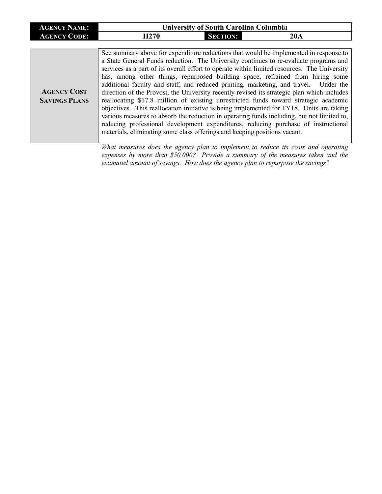| <b>AGENCY NAME:</b>                        | <b>University of South Carolina Columbia</b>                              |                 |                                                                                                                                                                                                                                                                                                                                                                                                                                                                                                                                                                                                                                                                                                                                                                                                                                                                                                                                 |
|--------------------------------------------|---------------------------------------------------------------------------|-----------------|---------------------------------------------------------------------------------------------------------------------------------------------------------------------------------------------------------------------------------------------------------------------------------------------------------------------------------------------------------------------------------------------------------------------------------------------------------------------------------------------------------------------------------------------------------------------------------------------------------------------------------------------------------------------------------------------------------------------------------------------------------------------------------------------------------------------------------------------------------------------------------------------------------------------------------|
| <b>AGENCY CODE:</b>                        | H <sub>270</sub>                                                          | <b>SECTION:</b> | 20A                                                                                                                                                                                                                                                                                                                                                                                                                                                                                                                                                                                                                                                                                                                                                                                                                                                                                                                             |
|                                            |                                                                           |                 |                                                                                                                                                                                                                                                                                                                                                                                                                                                                                                                                                                                                                                                                                                                                                                                                                                                                                                                                 |
| <b>AGENCY COST</b><br><b>SAVINGS PLANS</b> | materials, eliminating some class offerings and keeping positions vacant. |                 | See summary above for expenditure reductions that would be implemented in response to<br>a State General Funds reduction. The University continues to re-evaluate programs and<br>services as a part of its overall effort to operate within limited resources. The University<br>has, among other things, repurposed building space, refrained from hiring some<br>additional faculty and staff, and reduced printing, marketing, and travel. Under the<br>direction of the Provost, the University recently revised its strategic plan which includes<br>reallocating \$17.8 million of existing unrestricted funds toward strategic academic<br>objectives. This reallocation initiative is being implemented for FY18. Units are taking<br>various measures to absorb the reduction in operating funds including, but not limited to,<br>reducing professional development expenditures, reducing purchase of instructional |
|                                            |                                                                           |                 | What measures does the agency plan to implement to reduce its costs and operating                                                                                                                                                                                                                                                                                                                                                                                                                                                                                                                                                                                                                                                                                                                                                                                                                                               |

*expenses by more than \$50,000? Provide a summary of the measures taken and the estimated amount of savings. How does the agency plan to repurpose the savings?*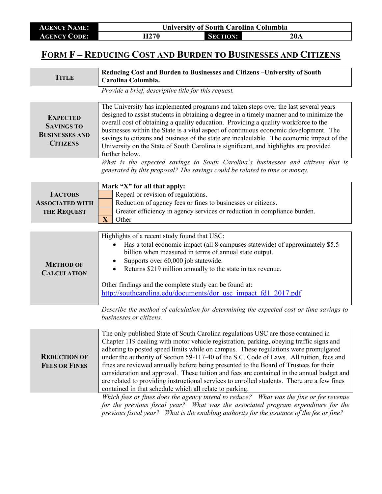| <b>AGENCY NAME:</b>                                                              | <b>University of South Carolina Columbia</b>                                                                                                                                                                                                                                                                                                                                                                                                                                                                                                                                                                                                                                                                    |  |  |
|----------------------------------------------------------------------------------|-----------------------------------------------------------------------------------------------------------------------------------------------------------------------------------------------------------------------------------------------------------------------------------------------------------------------------------------------------------------------------------------------------------------------------------------------------------------------------------------------------------------------------------------------------------------------------------------------------------------------------------------------------------------------------------------------------------------|--|--|
| <b>AGENCY CODE:</b>                                                              | H <sub>270</sub><br><b>SECTION:</b><br>20A                                                                                                                                                                                                                                                                                                                                                                                                                                                                                                                                                                                                                                                                      |  |  |
| FORM F-REDUCING COST AND BURDEN TO BUSINESSES AND CITIZENS                       |                                                                                                                                                                                                                                                                                                                                                                                                                                                                                                                                                                                                                                                                                                                 |  |  |
| <b>TITLE</b>                                                                     | Reducing Cost and Burden to Businesses and Citizens - University of South<br>Carolina Columbia.                                                                                                                                                                                                                                                                                                                                                                                                                                                                                                                                                                                                                 |  |  |
|                                                                                  | Provide a brief, descriptive title for this request.                                                                                                                                                                                                                                                                                                                                                                                                                                                                                                                                                                                                                                                            |  |  |
| <b>EXPECTED</b><br><b>SAVINGS TO</b><br><b>BUSINESSES AND</b><br><b>CITIZENS</b> | The University has implemented programs and taken steps over the last several years<br>designed to assist students in obtaining a degree in a timely manner and to minimize the<br>overall cost of obtaining a quality education. Providing a quality workforce to the<br>businesses within the State is a vital aspect of continuous economic development. The<br>savings to citizens and business of the state are incalculable. The economic impact of the<br>University on the State of South Carolina is significant, and highlights are provided<br>further below.                                                                                                                                        |  |  |
|                                                                                  | What is the expected savings to South Carolina's businesses and citizens that is<br>generated by this proposal? The savings could be related to time or money.                                                                                                                                                                                                                                                                                                                                                                                                                                                                                                                                                  |  |  |
| <b>FACTORS</b><br><b>ASSOCIATED WITH</b><br><b>THE REQUEST</b>                   | Mark "X" for all that apply:<br>Repeal or revision of regulations.<br>Reduction of agency fees or fines to businesses or citizens.<br>Greater efficiency in agency services or reduction in compliance burden.<br>X<br>Other                                                                                                                                                                                                                                                                                                                                                                                                                                                                                    |  |  |
| <b>METHOD OF</b><br><b>CALCULATION</b>                                           | Highlights of a recent study found that USC:<br>Has a total economic impact (all 8 campuses statewide) of approximately \$5.5<br>billion when measured in terms of annual state output.<br>Supports over 60,000 job statewide.<br>$\bullet$<br>Returns \$219 million annually to the state in tax revenue.<br>$\bullet$<br>Other findings and the complete study can be found at:<br>http://southcarolina.edu/documents/dor usc impact fd1 2017.pdf                                                                                                                                                                                                                                                             |  |  |
|                                                                                  | Describe the method of calculation for determining the expected cost or time savings to<br>businesses or citizens.                                                                                                                                                                                                                                                                                                                                                                                                                                                                                                                                                                                              |  |  |
| <b>REDUCTION OF</b><br><b>FEES OR FINES</b>                                      | The only published State of South Carolina regulations USC are those contained in<br>Chapter 119 dealing with motor vehicle registration, parking, obeying traffic signs and<br>adhering to posted speed limits while on campus. These regulations were promulgated<br>under the authority of Section 59-117-40 of the S.C. Code of Laws. All tuition, fees and<br>fines are reviewed annually before being presented to the Board of Trustees for their<br>consideration and approval. These tuition and fees are contained in the annual budget and<br>are related to providing instructional services to enrolled students. There are a few fines<br>contained in that schedule which all relate to parking. |  |  |
|                                                                                  | Which fees or fines does the agency intend to reduce? What was the fine or fee revenue<br>for the previous fiscal year? What was the associated program expenditure for the<br>previous fiscal year? What is the enabling authority for the issuance of the fee or fine?                                                                                                                                                                                                                                                                                                                                                                                                                                        |  |  |